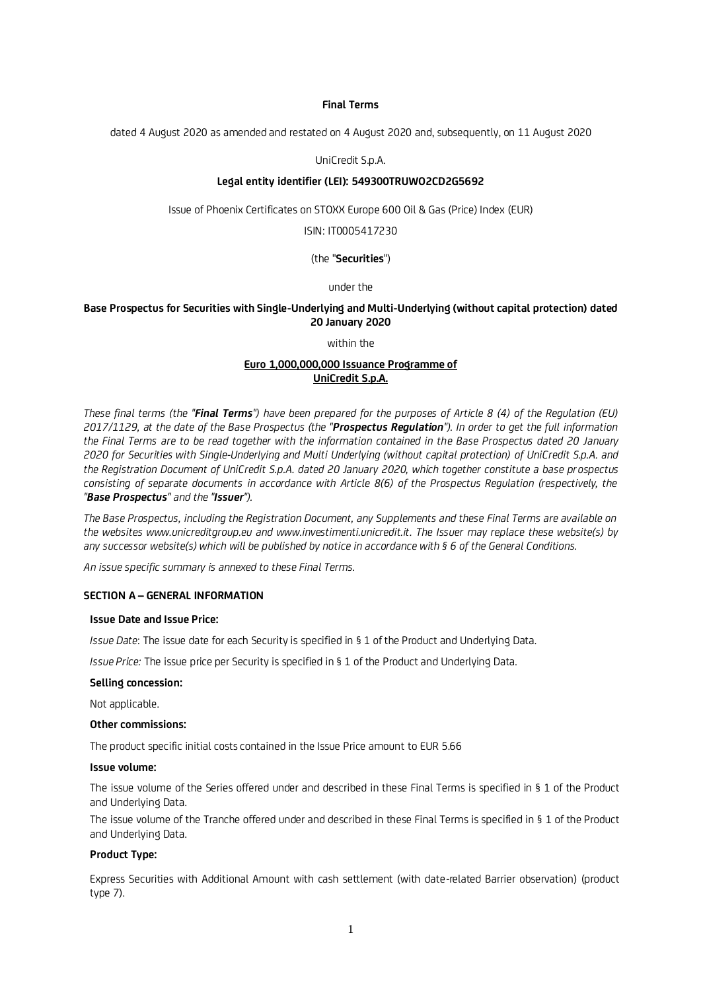### **Final Terms**

dated 4 August 2020 as amended and restated on 4 August 2020 and, subsequently, on 11 August 2020

## UniCredit S.p.A.

## **Legal entity identifier (LEI): 549300TRUWO2CD2G5692**

Issue of Phoenix Certificates on STOXX Europe 600 Oil & Gas (Price) Index (EUR)

ISIN: IT0005417230

## (the "**Securities**")

### under the

## **Base Prospectus for Securities with Single-Underlying and Multi-Underlying (without capital protection) dated 20 January 2020**

within the

## **Euro 1,000,000,000 Issuance Programme of UniCredit S.p.A.**

*These final terms (the "Final Terms") have been prepared for the purposes of Article 8 (4) of the Regulation (EU) 2017/1129, at the date of the Base Prospectus (the "Prospectus Regulation"). In order to get the full information the Final Terms are to be read together with the information contained in the Base Prospectus dated 20 January 2020 for Securities with Single-Underlying and Multi Underlying (without capital protection) of UniCredit S.p.A. and the Registration Document of UniCredit S.p.A. dated 20 January 2020, which together constitute a base prospectus consisting of separate documents in accordance with Article 8(6) of the Prospectus Regulation (respectively, the "Base Prospectus" and the "Issuer").*

*The Base Prospectus, including the Registration Document, any Supplements and these Final Terms are available on the websites www.unicreditgroup.eu and www.investimenti.unicredit.it. The Issuer may replace these website(s) by any successor website(s) which will be published by notice in accordance with § 6 of the General Conditions.*

*An issue specific summary is annexed to these Final Terms.*

## **SECTION A – GENERAL INFORMATION**

## **Issue Date and Issue Price:**

*Issue Date*: The issue date for each Security is specified in § 1 of the Product and Underlying Data.

*Issue Price:* The issue price per Security is specified in § 1 of the Product and Underlying Data.

### **Selling concession:**

Not applicable.

### **Other commissions:**

The product specific initial costs contained in the Issue Price amount to EUR 5.66

## **Issue volume:**

The issue volume of the Series offered under and described in these Final Terms is specified in § 1 of the Product and Underlying Data.

The issue volume of the Tranche offered under and described in these Final Terms is specified in § 1 of the Product and Underlying Data.

### **Product Type:**

Express Securities with Additional Amount with cash settlement (with date-related Barrier observation) (product type 7).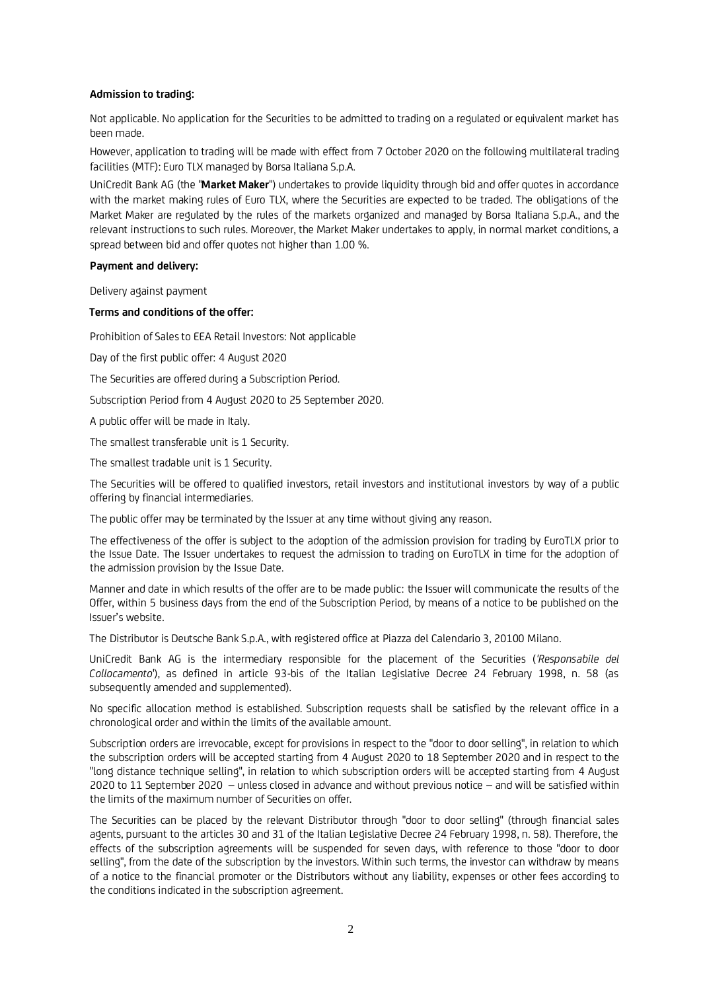## **Admission to trading:**

Not applicable. No application for the Securities to be admitted to trading on a regulated or equivalent market has been made.

However, application to trading will be made with effect from 7 October 2020 on the following multilateral trading facilities (MTF): Euro TLX managed by Borsa Italiana S.p.A.

UniCredit Bank AG (the "**Market Maker**") undertakes to provide liquidity through bid and offer quotes in accordance with the market making rules of Euro TLX, where the Securities are expected to be traded. The obligations of the Market Maker are regulated by the rules of the markets organized and managed by Borsa Italiana S.p.A., and the relevant instructions to such rules. Moreover, the Market Maker undertakes to apply, in normal market conditions, a spread between bid and offer quotes not higher than 1.00 %.

### **Payment and delivery:**

Delivery against payment

## **Terms and conditions of the offer:**

Prohibition of Sales to EEA Retail Investors: Not applicable

Day of the first public offer: 4 August 2020

The Securities are offered during a Subscription Period.

Subscription Period from 4 August 2020 to 25 September 2020.

A public offer will be made in Italy.

The smallest transferable unit is 1 Security.

The smallest tradable unit is 1 Security.

The Securities will be offered to qualified investors, retail investors and institutional investors by way of a public offering by financial intermediaries.

The public offer may be terminated by the Issuer at any time without giving any reason.

The effectiveness of the offer is subject to the adoption of the admission provision for trading by EuroTLX prior to the Issue Date. The Issuer undertakes to request the admission to trading on EuroTLX in time for the adoption of the admission provision by the Issue Date.

Manner and date in which results of the offer are to be made public: the Issuer will communicate the results of the Offer, within 5 business days from the end of the Subscription Period, by means of a notice to be published on the Issuer's website.

The Distributor is Deutsche Bank S.p.A., with registered office at Piazza del Calendario 3, 20100 Milano.

UniCredit Bank AG is the intermediary responsible for the placement of the Securities (*'Responsabile del Collocamento*'), as defined in article 93-bis of the Italian Legislative Decree 24 February 1998, n. 58 (as subsequently amended and supplemented).

No specific allocation method is established. Subscription requests shall be satisfied by the relevant office in a chronological order and within the limits of the available amount.

Subscription orders are irrevocable, except for provisions in respect to the "door to door selling", in relation to which the subscription orders will be accepted starting from 4 August 2020 to 18 September 2020 and in respect to the "long distance technique selling", in relation to which subscription orders will be accepted starting from 4 August 2020 to 11 September 2020 – unless closed in advance and without previous notice – and will be satisfied within the limits of the maximum number of Securities on offer.

The Securities can be placed by the relevant Distributor through "door to door selling" (through financial sales agents, pursuant to the articles 30 and 31 of the Italian Legislative Decree 24 February 1998, n. 58). Therefore, the effects of the subscription agreements will be suspended for seven days, with reference to those "door to door selling", from the date of the subscription by the investors. Within such terms, the investor can withdraw by means of a notice to the financial promoter or the Distributors without any liability, expenses or other fees according to the conditions indicated in the subscription agreement.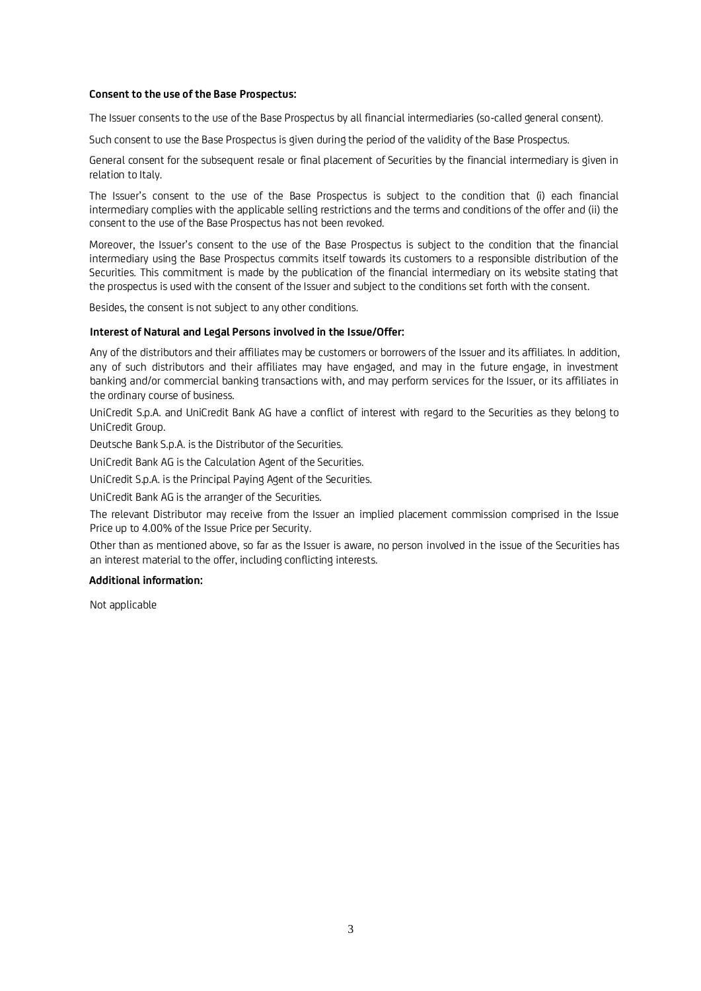## **Consent to the use of the Base Prospectus:**

The Issuer consents to the use of the Base Prospectus by all financial intermediaries (so-called general consent).

Such consent to use the Base Prospectus is given during the period of the validity of the Base Prospectus.

General consent for the subsequent resale or final placement of Securities by the financial intermediary is given in relation to Italy.

The Issuer's consent to the use of the Base Prospectus is subject to the condition that (i) each financial intermediary complies with the applicable selling restrictions and the terms and conditions of the offer and (ii) the consent to the use of the Base Prospectus has not been revoked.

Moreover, the Issuer's consent to the use of the Base Prospectus is subject to the condition that the financial intermediary using the Base Prospectus commits itself towards its customers to a responsible distribution of the Securities. This commitment is made by the publication of the financial intermediary on its website stating that the prospectus is used with the consent of the Issuer and subject to the conditions set forth with the consent.

Besides, the consent is not subject to any other conditions.

### **Interest of Natural and Legal Persons involved in the Issue/Offer:**

Any of the distributors and their affiliates may be customers or borrowers of the Issuer and its affiliates. In addition, any of such distributors and their affiliates may have engaged, and may in the future engage, in investment banking and/or commercial banking transactions with, and may perform services for the Issuer, or its affiliates in the ordinary course of business.

UniCredit S.p.A. and UniCredit Bank AG have a conflict of interest with regard to the Securities as they belong to UniCredit Group.

Deutsche Bank S.p.A. is the Distributor of the Securities.

UniCredit Bank AG is the Calculation Agent of the Securities.

UniCredit S.p.A. is the Principal Paying Agent of the Securities.

UniCredit Bank AG is the arranger of the Securities.

The relevant Distributor may receive from the Issuer an implied placement commission comprised in the Issue Price up to 4.00% of the Issue Price per Security.

Other than as mentioned above, so far as the Issuer is aware, no person involved in the issue of the Securities has an interest material to the offer, including conflicting interests.

### **Additional information:**

Not applicable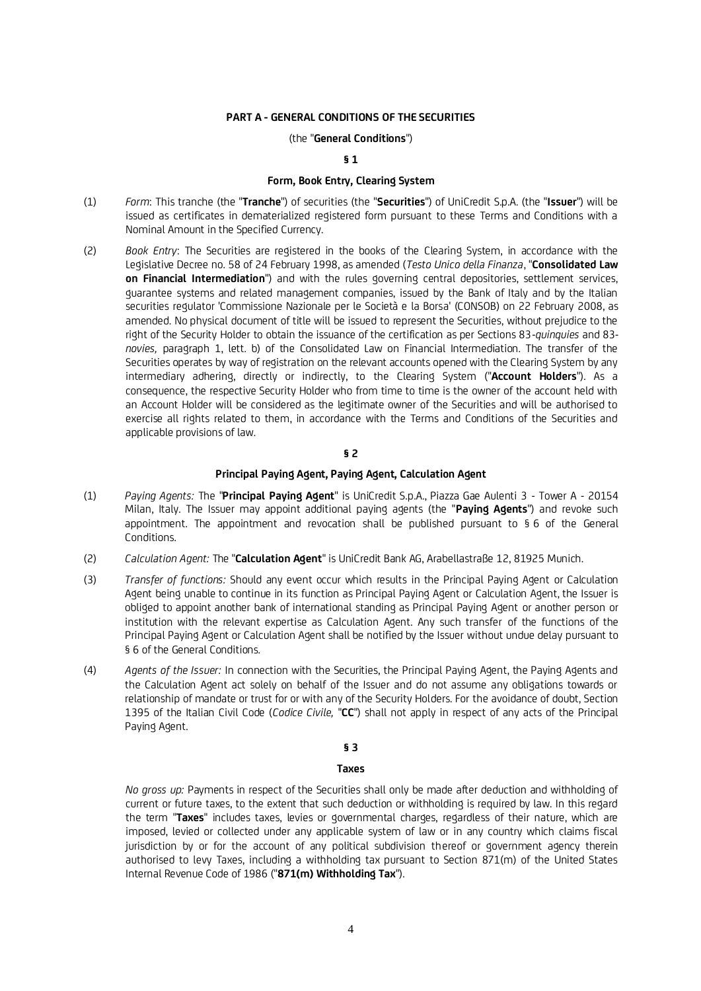## **PART A - GENERAL CONDITIONS OF THE SECURITIES**

### (the "**General Conditions**")

#### **§ 1**

## **Form, Book Entry, Clearing System**

- (1) *Form*: This tranche (the "**Tranche**") of securities (the "**Securities**") of UniCredit S.p.A. (the "**Issuer**") will be issued as certificates in dematerialized registered form pursuant to these Terms and Conditions with a Nominal Amount in the Specified Currency.
- (2) *Book Entry*: The Securities are registered in the books of the Clearing System, in accordance with the Legislative Decree no. 58 of 24 February 1998, as amended (*Testo Unico della Finanza*, "**Consolidated Law on Financial Intermediation**") and with the rules governing central depositories, settlement services, guarantee systems and related management companies, issued by the Bank of Italy and by the Italian securities regulator 'Commissione Nazionale per le Società e la Borsa' (CONSOB) on 22 February 2008, as amended. No physical document of title will be issued to represent the Securities, without prejudice to the right of the Security Holder to obtain the issuance of the certification as per Sections 83-*quinquies* and 83 *novies,* paragraph 1, lett. b) of the Consolidated Law on Financial Intermediation. The transfer of the Securities operates by way of registration on the relevant accounts opened with the Clearing System by any intermediary adhering, directly or indirectly, to the Clearing System ("**Account Holders**"). As a consequence, the respective Security Holder who from time to time is the owner of the account held with an Account Holder will be considered as the legitimate owner of the Securities and will be authorised to exercise all rights related to them, in accordance with the Terms and Conditions of the Securities and applicable provisions of law.

## **§ 2**

## **Principal Paying Agent, Paying Agent, Calculation Agent**

- (1) *Paying Agents:* The "**Principal Paying Agent**" is UniCredit S.p.A., Piazza Gae Aulenti 3 Tower A 20154 Milan, Italy. The Issuer may appoint additional paying agents (the "**Paying Agents**") and revoke such appointment. The appointment and revocation shall be published pursuant to § 6 of the General Conditions.
- (2) *Calculation Agent:* The "**Calculation Agent**" is UniCredit Bank AG, Arabellastraße 12, 81925 Munich.
- (3) *Transfer of functions:* Should any event occur which results in the Principal Paying Agent or Calculation Agent being unable to continue in its function as Principal Paying Agent or Calculation Agent, the Issuer is obliged to appoint another bank of international standing as Principal Paying Agent or another person or institution with the relevant expertise as Calculation Agent. Any such transfer of the functions of the Principal Paying Agent or Calculation Agent shall be notified by the Issuer without undue delay pursuant to § 6 of the General Conditions.
- (4) *Agents of the Issuer:* In connection with the Securities, the Principal Paying Agent, the Paying Agents and the Calculation Agent act solely on behalf of the Issuer and do not assume any obligations towards or relationship of mandate or trust for or with any of the Security Holders. For the avoidance of doubt, Section 1395 of the Italian Civil Code (*Codice Civile,* "**CC**") shall not apply in respect of any acts of the Principal Paying Agent.

#### **§ 3**

#### **Taxes**

*No gross up:* Payments in respect of the Securities shall only be made after deduction and withholding of current or future taxes, to the extent that such deduction or withholding is required by law. In this regard the term "**Taxes**" includes taxes, levies or governmental charges, regardless of their nature, which are imposed, levied or collected under any applicable system of law or in any country which claims fiscal jurisdiction by or for the account of any political subdivision thereof or government agency therein authorised to levy Taxes, including a withholding tax pursuant to Section 871(m) of the United States Internal Revenue Code of 1986 ("**871(m) Withholding Tax**").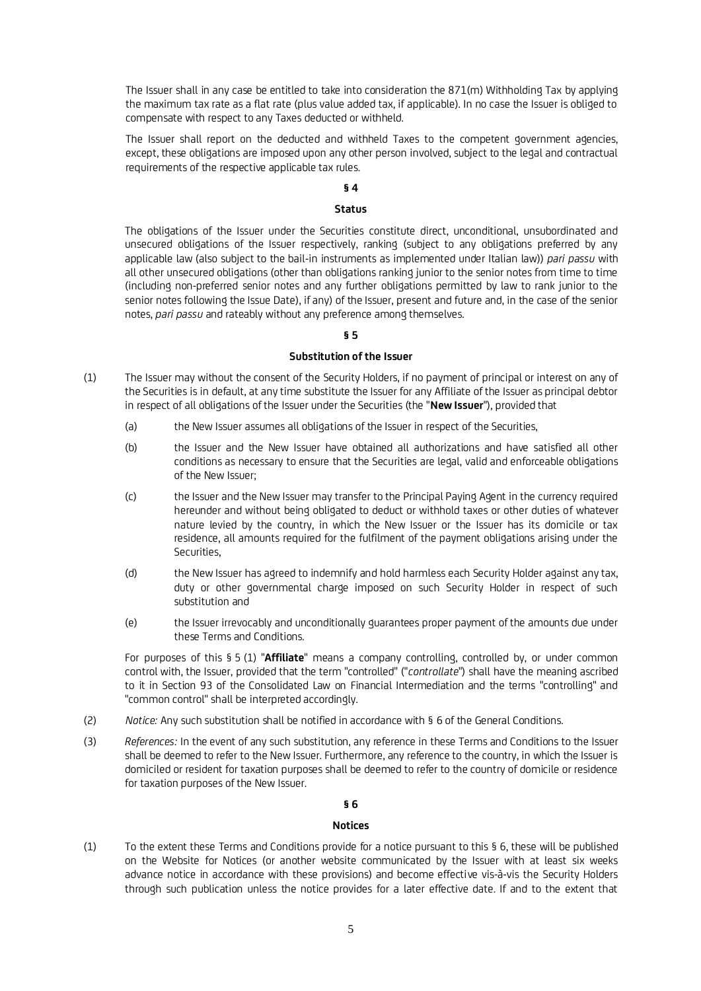The Issuer shall in any case be entitled to take into consideration the 871(m) Withholding Tax by applying the maximum tax rate as a flat rate (plus value added tax, if applicable). In no case the Issuer is obliged to compensate with respect to any Taxes deducted or withheld.

The Issuer shall report on the deducted and withheld Taxes to the competent government agencies, except, these obligations are imposed upon any other person involved, subject to the legal and contractual requirements of the respective applicable tax rules.

# **§ 4**

## **Status**

The obligations of the Issuer under the Securities constitute direct, unconditional, unsubordinated and unsecured obligations of the Issuer respectively, ranking (subject to any obligations preferred by any applicable law (also subject to the bail-in instruments as implemented under Italian law)) *pari passu* with all other unsecured obligations (other than obligations ranking junior to the senior notes from time to time (including non-preferred senior notes and any further obligations permitted by law to rank junior to the senior notes following the Issue Date), if any) of the Issuer, present and future and, in the case of the senior notes, *pari passu* and rateably without any preference among themselves.

## **§ 5**

## **Substitution of the Issuer**

- (1) The Issuer may without the consent of the Security Holders, if no payment of principal or interest on any of the Securities is in default, at any time substitute the Issuer for any Affiliate of the Issuer as principal debtor in respect of all obligations of the Issuer under the Securities (the "**New Issuer**"), provided that
	- (a) the New Issuer assumes all obligations of the Issuer in respect of the Securities,
	- (b) the Issuer and the New Issuer have obtained all authorizations and have satisfied all other conditions as necessary to ensure that the Securities are legal, valid and enforceable obligations of the New Issuer;
	- (c) the Issuer and the New Issuer may transfer to the Principal Paying Agent in the currency required hereunder and without being obligated to deduct or withhold taxes or other duties of whatever nature levied by the country, in which the New Issuer or the Issuer has its domicile or tax residence, all amounts required for the fulfilment of the payment obligations arising under the Securities,
	- (d) the New Issuer has agreed to indemnify and hold harmless each Security Holder against any tax, duty or other governmental charge imposed on such Security Holder in respect of such substitution and
	- (e) the Issuer irrevocably and unconditionally guarantees proper payment of the amounts due under these Terms and Conditions.

For purposes of this § 5 (1) "**Affiliate**" means a company controlling, controlled by, or under common control with, the Issuer, provided that the term "controlled" ("*controllate*") shall have the meaning ascribed to it in Section 93 of the Consolidated Law on Financial Intermediation and the terms "controlling" and "common control" shall be interpreted accordingly.

- (2) *Notice:* Any such substitution shall be notified in accordance with § 6 of the General Conditions.
- (3) *References:* In the event of any such substitution, any reference in these Terms and Conditions to the Issuer shall be deemed to refer to the New Issuer. Furthermore, any reference to the country, in which the Issuer is domiciled or resident for taxation purposes shall be deemed to refer to the country of domicile or residence for taxation purposes of the New Issuer.

## **§ 6**

### **Notices**

(1) To the extent these Terms and Conditions provide for a notice pursuant to this § 6, these will be published on the Website for Notices (or another website communicated by the Issuer with at least six weeks advance notice in accordance with these provisions) and become effective vis-à-vis the Security Holders through such publication unless the notice provides for a later effective date. If and to the extent that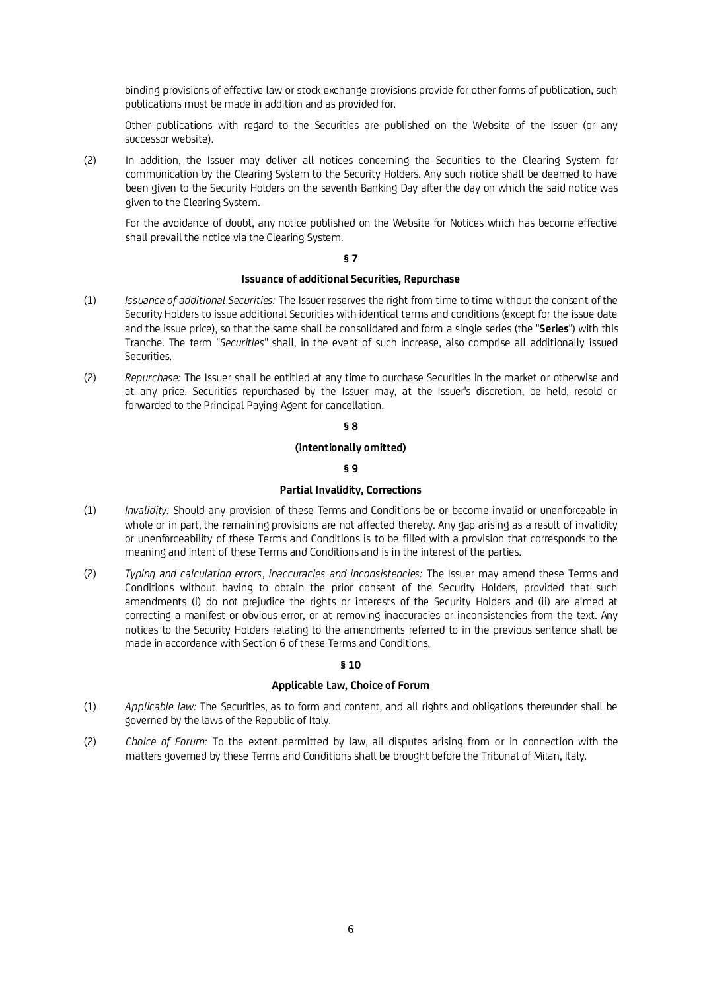binding provisions of effective law or stock exchange provisions provide for other forms of publication, such publications must be made in addition and as provided for.

Other publications with regard to the Securities are published on the Website of the Issuer (or any successor website).

(2) In addition, the Issuer may deliver all notices concerning the Securities to the Clearing System for communication by the Clearing System to the Security Holders. Any such notice shall be deemed to have been given to the Security Holders on the seventh Banking Day after the day on which the said notice was given to the Clearing System.

For the avoidance of doubt, any notice published on the Website for Notices which has become effective shall prevail the notice via the Clearing System.

## **§ 7**

## **Issuance of additional Securities, Repurchase**

- (1) *Issuance of additional Securities:* The Issuer reserves the right from time to time without the consent of the Security Holders to issue additional Securities with identical terms and conditions (except for the issue date and the issue price), so that the same shall be consolidated and form a single series (the "**Series**") with this Tranche. The term "*Securities*" shall, in the event of such increase, also comprise all additionally issued Securities.
- (2) *Repurchase:* The Issuer shall be entitled at any time to purchase Securities in the market or otherwise and at any price. Securities repurchased by the Issuer may, at the Issuer's discretion, be held, resold or forwarded to the Principal Paying Agent for cancellation.

## **§ 8**

## **(intentionally omitted)**

## **§ 9**

## **Partial Invalidity, Corrections**

- (1) *Invalidity:* Should any provision of these Terms and Conditions be or become invalid or unenforceable in whole or in part, the remaining provisions are not affected thereby. Any gap arising as a result of invalidity or unenforceability of these Terms and Conditions is to be filled with a provision that corresponds to the meaning and intent of these Terms and Conditions and is in the interest of the parties.
- (2) *Typing and calculation errors*, *inaccuracies and inconsistencies:* The Issuer may amend these Terms and Conditions without having to obtain the prior consent of the Security Holders, provided that such amendments (i) do not prejudice the rights or interests of the Security Holders and (ii) are aimed at correcting a manifest or obvious error, or at removing inaccuracies or inconsistencies from the text. Any notices to the Security Holders relating to the amendments referred to in the previous sentence shall be made in accordance with Section 6 of these Terms and Conditions.

## **§ 10**

### **Applicable Law, Choice of Forum**

- (1) *Applicable law:* The Securities, as to form and content, and all rights and obligations thereunder shall be governed by the laws of the Republic of Italy.
- (2) *Choice of Forum:* To the extent permitted by law, all disputes arising from or in connection with the matters governed by these Terms and Conditions shall be brought before the Tribunal of Milan, Italy.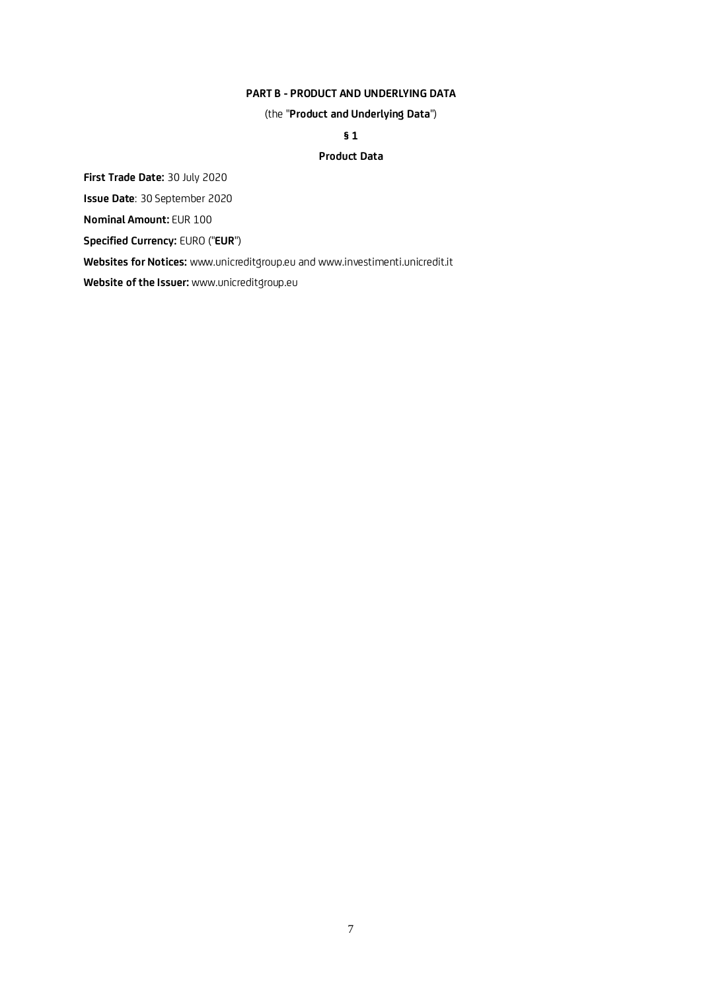## **PART B - PRODUCT AND UNDERLYING DATA**

(the "**Product and Underlying Data**")

**§ 1**

## **Product Data**

**First Trade Date:** 30 July 2020

**Issue Date**: 30 September 2020

**Nominal Amount:** EUR 100

**Specified Currency:** EURO ("**EUR**")

**Websites for Notices:** www.unicreditgroup.eu and www.investimenti.unicredit.it

**Website of the Issuer:** www.unicreditgroup.eu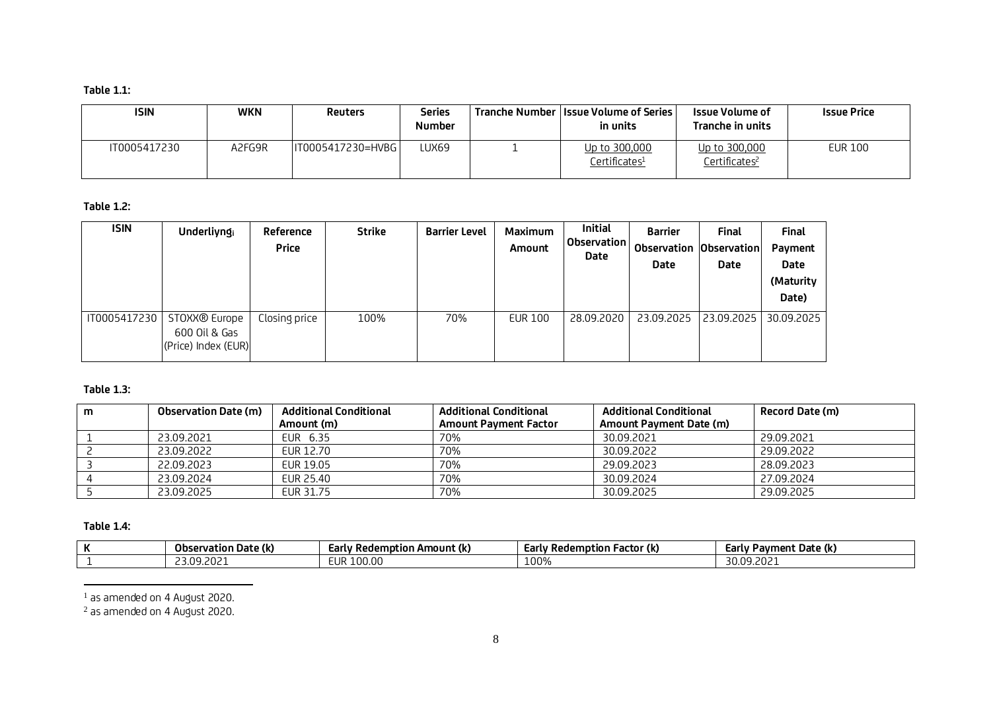# **Table 1.1:**

| <b>ISIN</b>  | WKN    | <b>Reuters</b>    | Series<br><b>Number</b> | <b>Tranche Number   Issue Volume of Series  </b><br>in units | Issue Volume of<br>Tranche in units        | <b>Issue Price</b> |
|--------------|--------|-------------------|-------------------------|--------------------------------------------------------------|--------------------------------------------|--------------------|
| IT0005417230 | A2FG9R | IT0005417230=HVBG | LUX69                   | Up to 300,000<br>Certificates <del>1</del>                   | Up to 300,000<br>Certificates <sup>2</sup> | <b>EUR 100</b>     |

# **Table 1.2:**

| <b>ISIN</b>  | Underliyngi                                                       | Reference<br><b>Price</b> | <b>Strike</b> | <b>Barrier Level</b> | <b>Maximum</b><br>Amount | <b>Initial</b><br>Observation<br>Date | <b>Barrier</b><br>Observation Observation<br>Date | <b>Final</b><br>Date | Final<br>Payment<br><b>Date</b><br>(Maturity<br>Date) |
|--------------|-------------------------------------------------------------------|---------------------------|---------------|----------------------|--------------------------|---------------------------------------|---------------------------------------------------|----------------------|-------------------------------------------------------|
| IT0005417230 | STOXX <sup>®</sup> Europe<br>600 Oil & Gas<br>(Price) Index (EUR) | Closing price             | 100%          | 70%                  | <b>EUR 100</b>           | 28.09.2020                            | 23.09.2025                                        | 23.09.2025           | 30.09.2025                                            |

## **Table 1.3:**

| m | <b>Observation Date (m)</b> | <b>Additional Conditional</b> | <b>Additional Conditional</b> | <b>Additional Conditional</b> | Record Date (m) |
|---|-----------------------------|-------------------------------|-------------------------------|-------------------------------|-----------------|
|   |                             | Amount (m)                    | <b>Amount Payment Factor</b>  | Amount Payment Date (m)       |                 |
|   | 23.09.2021                  | EUR 6.35                      | 70%                           | 30.09.2021                    | 29.09.2021      |
|   | 23.09.2022                  | EUR 12.70                     | 70%                           | 30.09.2022                    | 29.09.2022      |
|   | 22.09.2023                  | EUR 19.05                     | 70%                           | 29.09.2023                    | 28.09.2023      |
|   | 23.09.2024                  | EUR 25.40                     | 70%                           | 30.09.2024                    | 27.09.2024      |
|   | 23.09.2025                  | EUR 31.75                     | 70%                           | 30.09.2025                    | 29.09.2025      |

# **Table 1.4:**

| Observation Date (k) | <sup>,</sup> Redemption Amount (k)<br>Earlv | ı Factor (k)<br>Redemption<br>tarlv | Payment Date (k)<br>-carly |
|----------------------|---------------------------------------------|-------------------------------------|----------------------------|
| ∶כ∩כ<br>2112<br>.    | 100.00<br>ᄗ<br>LUF                          | LOO%                                | $\sim$<br>na<br>30.09.2021 |

<sup>1</sup> as amended on 4 August 2020.

 $2$  as amended on 4 August 2020.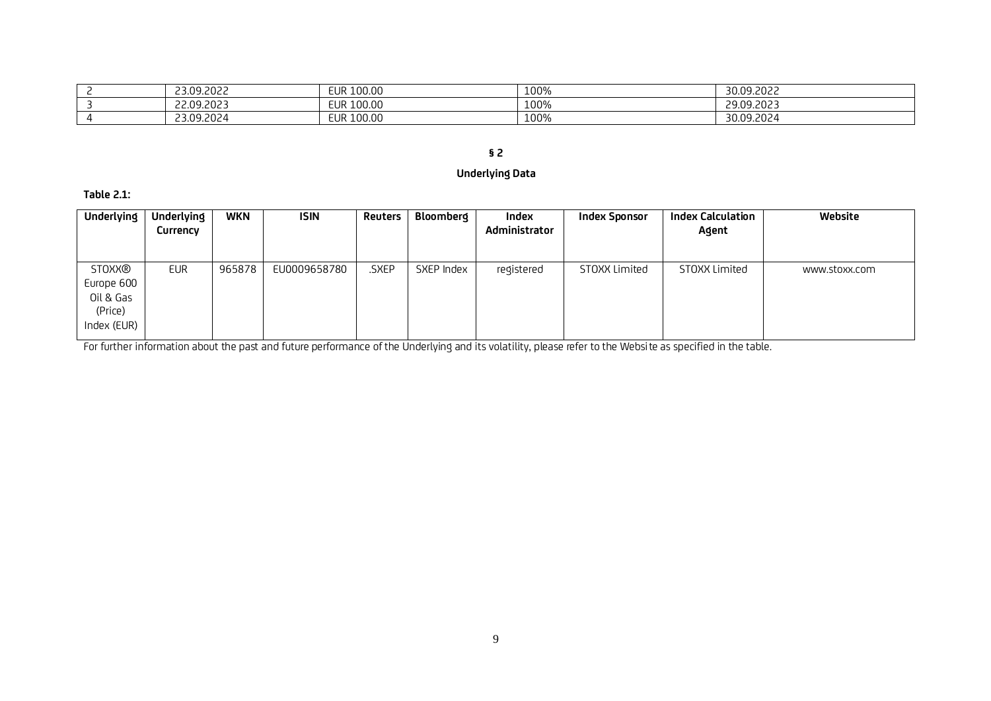| 23.09.2022 | 100.00<br><b>EUR</b> | 100% | 30.09.2022 |
|------------|----------------------|------|------------|
| 22.09.2023 | EUR 100.00           | 100% | 29.09.2023 |
| 23.09.2024 | 100.00<br><b>EUR</b> | 100% | 30.09.2024 |

# **§ 2**

# **Underlying Data**

**Table 2.1:**

| <b>Underlying</b> | <b>Underlying</b> | <b>WKN</b> | <b>ISIN</b>  | Reuters | Bloomberq  | Index         | <b>Index Sponsor</b> | <b>Index Calculation</b> | Website       |
|-------------------|-------------------|------------|--------------|---------|------------|---------------|----------------------|--------------------------|---------------|
|                   | Currency          |            |              |         |            | Administrator |                      | Agent                    |               |
|                   |                   |            |              |         |            |               |                      |                          |               |
| <b>STOXX®</b>     | <b>EUR</b>        | 965878     | EU0009658780 | .SXEP   | SXEP Index | registered    | STOXX Limited        | STOXX Limited            | www.stoxx.com |
| Europe 600        |                   |            |              |         |            |               |                      |                          |               |
| Oil & Gas         |                   |            |              |         |            |               |                      |                          |               |
| (Price)           |                   |            |              |         |            |               |                      |                          |               |
| Index (EUR)       |                   |            |              |         |            |               |                      |                          |               |

For further information about the past and future performance of the Underlying and its volatility, please refer to the Website as specified in the table.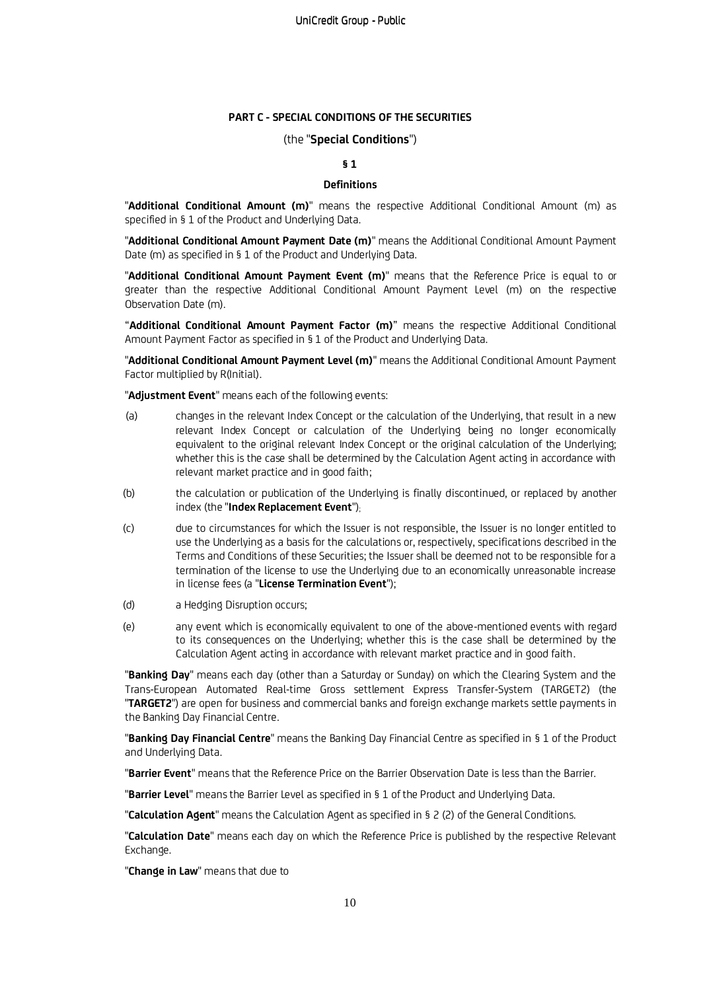### **PART C - SPECIAL CONDITIONS OF THE SECURITIES**

### (the "**Special Conditions**")

## **§ 1**

#### **Definitions**

"**Additional Conditional Amount (m)**" means the respective Additional Conditional Amount (m) as specified in § 1 of the Product and Underlying Data.

"**Additional Conditional Amount Payment Date (m)**" means the Additional Conditional Amount Payment Date (m) as specified in § 1 of the Product and Underlying Data.

"**Additional Conditional Amount Payment Event (m)**" means that the Reference Price is equal to or greater than the respective Additional Conditional Amount Payment Level (m) on the respective Observation Date (m).

"**Additional Conditional Amount Payment Factor (m)**" means the respective Additional Conditional Amount Payment Factor as specified in § 1 of the Product and Underlying Data.

"**Additional Conditional Amount Payment Level (m)**" means the Additional Conditional Amount Payment Factor multiplied by R(Initial).

"**Adjustment Event**" means each of the following events:

- (a) changes in the relevant Index Concept or the calculation of the Underlying, that result in a new relevant Index Concept or calculation of the Underlying being no longer economically equivalent to the original relevant Index Concept or the original calculation of the Underlying; whether this is the case shall be determined by the Calculation Agent acting in accordance with relevant market practice and in good faith;
- (b) the calculation or publication of the Underlying is finally discontinued, or replaced by another index (the "**Index Replacement Event**");
- (c) due to circumstances for which the Issuer is not responsible, the Issuer is no longer entitled to use the Underlying as a basis for the calculations or, respectively, specifications described in the Terms and Conditions of these Securities; the Issuer shall be deemed not to be responsible for a termination of the license to use the Underlying due to an economically unreasonable increase in license fees (a "**License Termination Event**");
- (d) a Hedging Disruption occurs;
- (e) any event which is economically equivalent to one of the above-mentioned events with regard to its consequences on the Underlying; whether this is the case shall be determined by the Calculation Agent acting in accordance with relevant market practice and in good faith.

"**Banking Day**" means each day (other than a Saturday or Sunday) on which the Clearing System and the Trans-European Automated Real-time Gross settlement Express Transfer-System (TARGET2) (the "**TARGET2**") are open for business and commercial banks and foreign exchange markets settle payments in the Banking Day Financial Centre.

"**Banking Day Financial Centre**" means the Banking Day Financial Centre as specified in § 1 of the Product and Underlying Data.

"**Barrier Event**" means that the Reference Price on the Barrier Observation Date is less than the Barrier.

"**Barrier Level**" means the Barrier Level as specified in § 1 of the Product and Underlying Data.

"**Calculation Agent**" means the Calculation Agent as specified in § 2 (2) of the General Conditions.

"**Calculation Date**" means each day on which the Reference Price is published by the respective Relevant Exchange.

"**Change in Law**" means that due to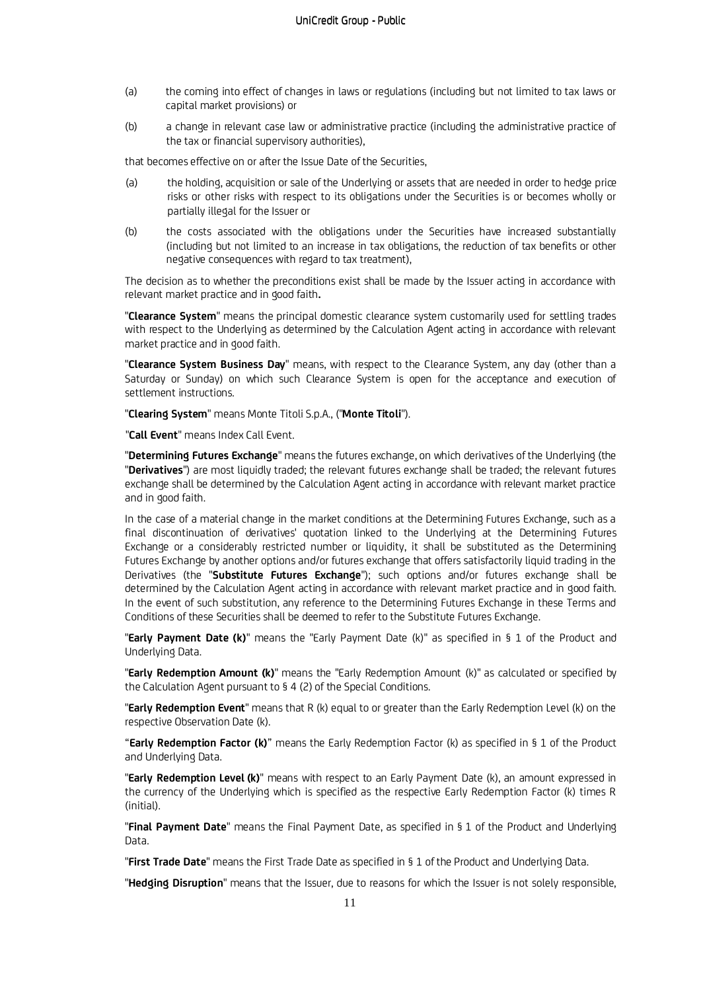- (a) the coming into effect of changes in laws or regulations (including but not limited to tax laws or capital market provisions) or
- (b) a change in relevant case law or administrative practice (including the administrative practice of the tax or financial supervisory authorities),

that becomes effective on or after the Issue Date of the Securities,

- (a) the holding, acquisition or sale of the Underlying or assets that are needed in order to hedge price risks or other risks with respect to its obligations under the Securities is or becomes wholly or partially illegal for the Issuer or
- (b) the costs associated with the obligations under the Securities have increased substantially (including but not limited to an increase in tax obligations, the reduction of tax benefits or other negative consequences with regard to tax treatment),

The decision as to whether the preconditions exist shall be made by the Issuer acting in accordance with relevant market practice and in good faith**.** 

"**Clearance System**" means the principal domestic clearance system customarily used for settling trades with respect to the Underlying as determined by the Calculation Agent acting in accordance with relevant market practice and in good faith.

"**Clearance System Business Day**" means, with respect to the Clearance System, any day (other than a Saturday or Sunday) on which such Clearance System is open for the acceptance and execution of settlement instructions.

"**Clearing System**" means Monte Titoli S.p.A., ("**Monte Titoli**").

"**Call Event**" means Index Call Event.

"**Determining Futures Exchange**" means the futures exchange, on which derivatives of the Underlying (the "**Derivatives**") are most liquidly traded; the relevant futures exchange shall be traded; the relevant futures exchange shall be determined by the Calculation Agent acting in accordance with relevant market practice and in good faith.

In the case of a material change in the market conditions at the Determining Futures Exchange, such as a final discontinuation of derivatives' quotation linked to the Underlying at the Determining Futures Exchange or a considerably restricted number or liquidity, it shall be substituted as the Determining Futures Exchange by another options and/or futures exchange that offers satisfactorily liquid trading in the Derivatives (the "**Substitute Futures Exchange**"); such options and/or futures exchange shall be determined by the Calculation Agent acting in accordance with relevant market practice and in good faith. In the event of such substitution, any reference to the Determining Futures Exchange in these Terms and Conditions of these Securities shall be deemed to refer to the Substitute Futures Exchange.

"**Early Payment Date (k)**" means the "Early Payment Date (k)" as specified in § 1 of the Product and Underlying Data.

"**Early Redemption Amount (k)**" means the "Early Redemption Amount (k)" as calculated or specified by the Calculation Agent pursuant to § 4 (2) of the Special Conditions.

"**Early Redemption Event**" means that R (k) equal to or greater than the Early Redemption Level (k) on the respective Observation Date (k).

"**Early Redemption Factor (k)**" means the Early Redemption Factor (k) as specified in § 1 of the Product and Underlying Data.

"**Early Redemption Level (k)**" means with respect to an Early Payment Date (k), an amount expressed in the currency of the Underlying which is specified as the respective Early Redemption Factor (k) times R (initial).

"**Final Payment Date**" means the Final Payment Date, as specified in § 1 of the Product and Underlying Data.

"**First Trade Date**" means the First Trade Date as specified in § 1 of the Product and Underlying Data.

"**Hedging Disruption**" means that the Issuer, due to reasons for which the Issuer is not solely responsible,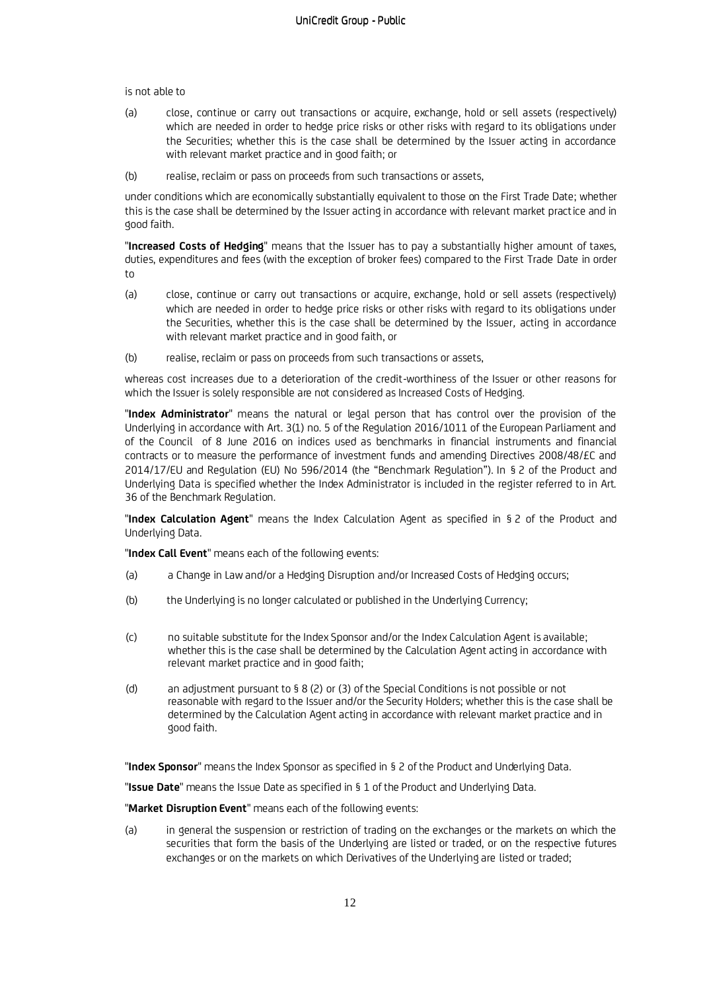is not able to

- (a) close, continue or carry out transactions or acquire, exchange, hold or sell assets (respectively) which are needed in order to hedge price risks or other risks with regard to its obligations under the Securities; whether this is the case shall be determined by the Issuer acting in accordance with relevant market practice and in good faith; or
- (b) realise, reclaim or pass on proceeds from such transactions or assets,

under conditions which are economically substantially equivalent to those on the First Trade Date; whether this is the case shall be determined by the Issuer acting in accordance with relevant market practice and in good faith.

"**Increased Costs of Hedging**" means that the Issuer has to pay a substantially higher amount of taxes, duties, expenditures and fees (with the exception of broker fees) compared to the First Trade Date in order to

- (a) close, continue or carry out transactions or acquire, exchange, hold or sell assets (respectively) which are needed in order to hedge price risks or other risks with regard to its obligations under the Securities, whether this is the case shall be determined by the Issuer*,* acting in accordance with relevant market practice and in good faith, or
- (b) realise, reclaim or pass on proceeds from such transactions or assets,

whereas cost increases due to a deterioration of the credit-worthiness of the Issuer or other reasons for which the Issuer is solely responsible are not considered as Increased Costs of Hedging.

"**Index Administrator**" means the natural or legal person that has control over the provision of the Underlying in accordance with Art. 3(1) no. 5 of the Regulation 2016/1011 of the European Parliament and of the Council of 8 June 2016 on indices used as benchmarks in financial instruments and financial contracts or to measure the performance of investment funds and amending Directives 2008/48/£C and 2014/17/EU and Regulation (EU) No 596/2014 (the "Benchmark Regulation"). In § 2 of the Product and Underlying Data is specified whether the Index Administrator is included in the register referred to in Art. 36 of the Benchmark Regulation.

"**Index Calculation Agent**" means the Index Calculation Agent as specified in § 2 of the Product and Underlying Data.

"**Index Call Event**" means each of the following events:

- (a) a Change in Law and/or a Hedging Disruption and/or Increased Costs of Hedging occurs;
- (b) the Underlying is no longer calculated or published in the Underlying Currency;
- (c) no suitable substitute for the Index Sponsor and/or the Index Calculation Agent is available; whether this is the case shall be determined by the Calculation Agent acting in accordance with relevant market practice and in good faith;
- (d) an adjustment pursuant to § 8 (2) or (3) of the Special Conditions is not possible or not reasonable with regard to the Issuer and/or the Security Holders; whether this is the case shall be determined by the Calculation Agent acting in accordance with relevant market practice and in good faith.

"**Index Sponsor**" means the Index Sponsor as specified in § 2 of the Product and Underlying Data.

"**Issue Date**" means the Issue Date as specified in § 1 of the Product and Underlying Data.

"**Market Disruption Event**" means each of the following events:

(a) in general the suspension or restriction of trading on the exchanges or the markets on which the securities that form the basis of the Underlying are listed or traded, or on the respective futures exchanges or on the markets on which Derivatives of the Underlying are listed or traded: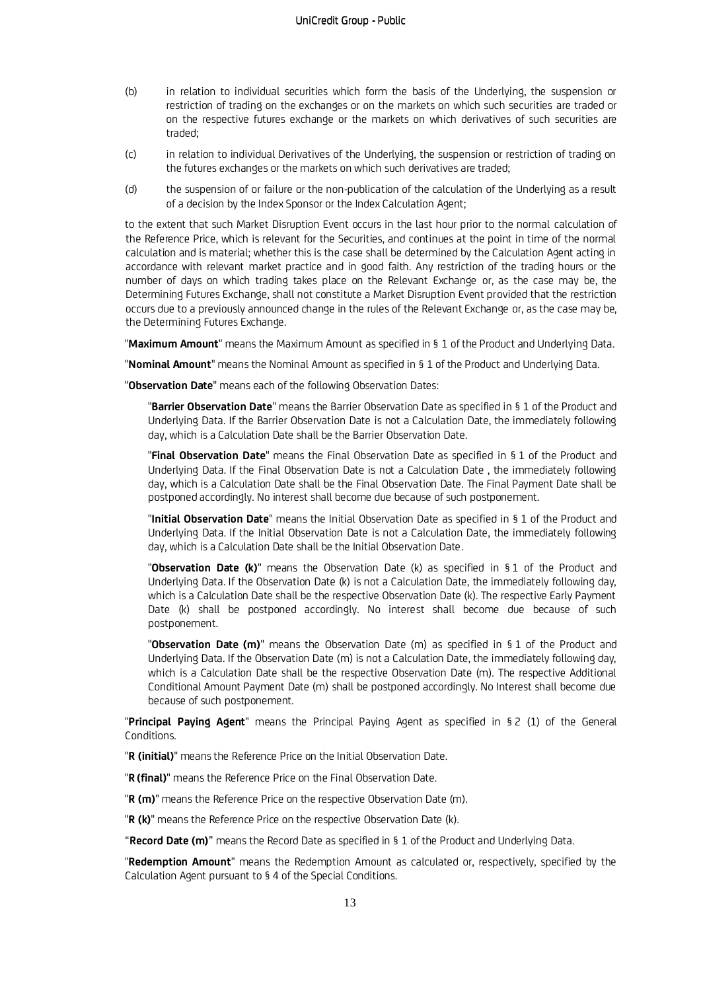- (b) in relation to individual securities which form the basis of the Underlying, the suspension or restriction of trading on the exchanges or on the markets on which such securities are traded or on the respective futures exchange or the markets on which derivatives of such securities are traded;
- (c) in relation to individual Derivatives of the Underlying, the suspension or restriction of trading on the futures exchanges or the markets on which such derivatives are traded;
- (d) the suspension of or failure or the non-publication of the calculation of the Underlying as a result of a decision by the Index Sponsor or the Index Calculation Agent;

to the extent that such Market Disruption Event occurs in the last hour prior to the normal calculation of the Reference Price, which is relevant for the Securities, and continues at the point in time of the normal calculation and is material; whether this is the case shall be determined by the Calculation Agent acting in accordance with relevant market practice and in good faith. Any restriction of the trading hours or the number of days on which trading takes place on the Relevant Exchange or, as the case may be, the Determining Futures Exchange, shall not constitute a Market Disruption Event provided that the restriction occurs due to a previously announced change in the rules of the Relevant Exchange or, as the case may be, the Determining Futures Exchange.

"**Maximum Amount**" means the Maximum Amount as specified in § 1 of the Product and Underlying Data.

"**Nominal Amount**" means the Nominal Amount as specified in § 1 of the Product and Underlying Data.

"**Observation Date**" means each of the following Observation Dates:

"**Barrier Observation Date**" means the Barrier Observation Date as specified in § 1 of the Product and Underlying Data. If the Barrier Observation Date is not a Calculation Date, the immediately following day, which is a Calculation Date shall be the Barrier Observation Date.

"**Final Observation Date**" means the Final Observation Date as specified in § 1 of the Product and Underlying Data. If the Final Observation Date is not a Calculation Date , the immediately following day, which is a Calculation Date shall be the Final Observation Date. The Final Payment Date shall be postponed accordingly. No interest shall become due because of such postponement.

"**Initial Observation Date**" means the Initial Observation Date as specified in § 1 of the Product and Underlying Data. If the Initial Observation Date is not a Calculation Date, the immediately following day, which is a Calculation Date shall be the Initial Observation Date.

"**Observation Date (k)**" means the Observation Date (k) as specified in § 1 of the Product and Underlying Data. If the Observation Date (k) is not a Calculation Date, the immediately following day, which is a Calculation Date shall be the respective Observation Date (k). The respective Early Payment Date (k) shall be postponed accordingly. No interest shall become due because of such postponement.

"**Observation Date (m)**" means the Observation Date (m) as specified in § 1 of the Product and Underlying Data. If the Observation Date (m) is not a Calculation Date, the immediately following day, which is a Calculation Date shall be the respective Observation Date (m). The respective Additional Conditional Amount Payment Date (m) shall be postponed accordingly. No Interest shall become due because of such postponement.

"**Principal Paying Agent**" means the Principal Paying Agent as specified in § 2 (1) of the General Conditions.

"**R (initial)**" means the Reference Price on the Initial Observation Date.

"**R (final)**" means the Reference Price on the Final Observation Date.

"**R (m)**" means the Reference Price on the respective Observation Date (m).

"**R (k)**" means the Reference Price on the respective Observation Date (k).

"**Record Date (m)**" means the Record Date as specified in § 1 of the Product and Underlying Data.

"**Redemption Amount**" means the Redemption Amount as calculated or, respectively, specified by the Calculation Agent pursuant to § 4 of the Special Conditions.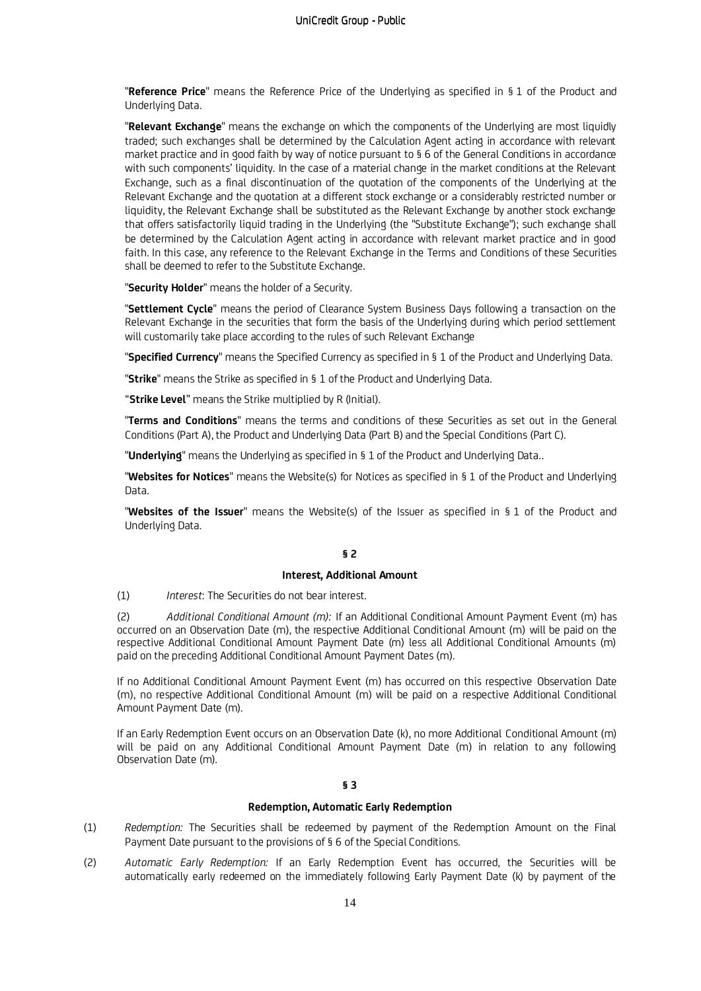"**Reference Price**" means the Reference Price of the Underlying as specified in § 1 of the Product and Underlying Data.

"**Relevant Exchange**" means the exchange on which the components of the Underlying are most liquidly traded; such exchanges shall be determined by the Calculation Agent acting in accordance with relevant market practice and in good faith by way of notice pursuant to § 6 of the General Conditions in accordance with such components' liquidity. In the case of a material change in the market conditions at the Relevant Exchange, such as a final discontinuation of the quotation of the components of the Underlying at the Relevant Exchange and the quotation at a different stock exchange or a considerably restricted number or liquidity, the Relevant Exchange shall be substituted as the Relevant Exchange by another stock exchange that offers satisfactorily liquid trading in the Underlying (the "Substitute Exchange"); such exchange shall be determined by the Calculation Agent acting in accordance with relevant market practice and in good faith. In this case, any reference to the Relevant Exchange in the Terms and Conditions of these Securities shall be deemed to refer to the Substitute Exchange.

"**Security Holder**" means the holder of a Security.

"**Settlement Cycle**" means the period of Clearance System Business Days following a transaction on the Relevant Exchange in the securities that form the basis of the Underlying during which period settlement will customarily take place according to the rules of such Relevant Exchange

"**Specified Currency**" means the Specified Currency as specified in § 1 of the Product and Underlying Data.

"**Strike**" means the Strike as specified in § 1 of the Product and Underlying Data.

"**Strike Level**" means the Strike multiplied by R (Initial).

"**Terms and Conditions**" means the terms and conditions of these Securities as set out in the General Conditions (Part A), the Product and Underlying Data (Part B) and the Special Conditions (Part C).

"**Underlying**" means the Underlying as specified in § 1 of the Product and Underlying Data..

"**Websites for Notices**" means the Website(s) for Notices as specified in § 1 of the Product and Underlying Data.

"**Websites of the Issuer**" means the Website(s) of the Issuer as specified in § 1 of the Product and Underlying Data.

## **§ 2**

## **Interest, Additional Amount**

(1) *Interest*: The Securities do not bear interest.

(2) *Additional Conditional Amount (m):* If an Additional Conditional Amount Payment Event (m) has occurred on an Observation Date (m), the respective Additional Conditional Amount (m) will be paid on the respective Additional Conditional Amount Payment Date (m) less all Additional Conditional Amounts (m) paid on the preceding Additional Conditional Amount Payment Dates (m).

If no Additional Conditional Amount Payment Event (m) has occurred on this respective Observation Date (m), no respective Additional Conditional Amount (m) will be paid on a respective Additional Conditional Amount Payment Date (m).

If an Early Redemption Event occurs on an Observation Date (k), no more Additional Conditional Amount (m) will be paid on any Additional Conditional Amount Payment Date (m) in relation to any following Observation Date (m).

### **§ 3**

## **Redemption, Automatic Early Redemption**

- (1) *Redemption:* The Securities shall be redeemed by payment of the Redemption Amount on the Final Payment Date pursuant to the provisions of § 6 of the Special Conditions*.*
- (2) *Automatic Early Redemption:* If an Early Redemption Event has occurred, the Securities will be automatically early redeemed on the immediately following Early Payment Date (k) by payment of the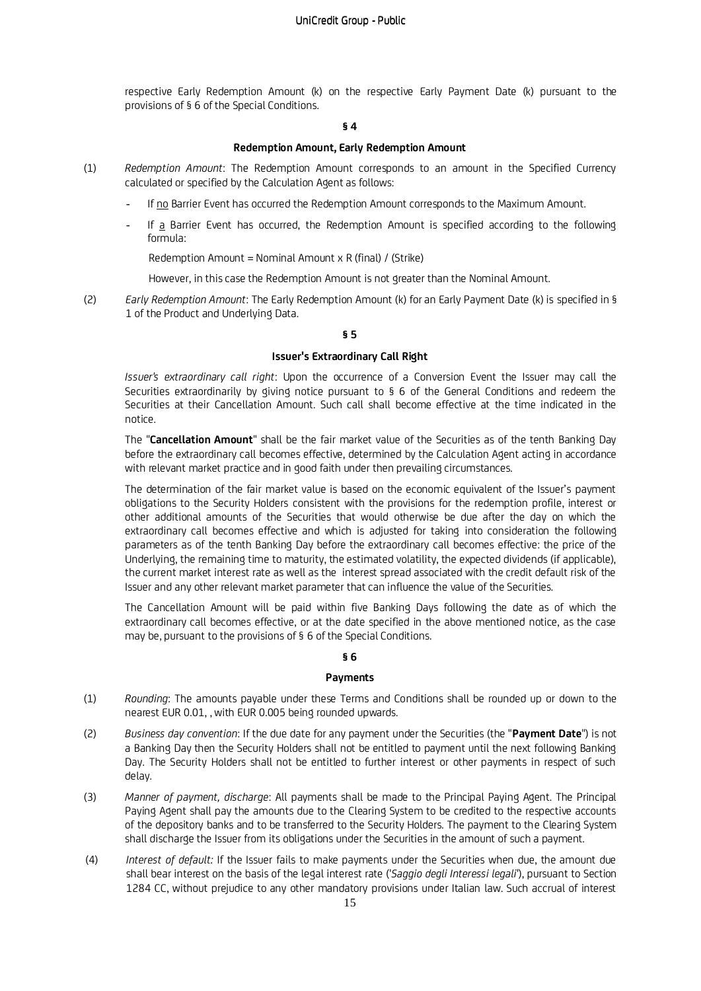respective Early Redemption Amount (k) on the respective Early Payment Date (k) pursuant to the provisions of § 6 of the Special Conditions.

## **§ 4**

## **Redemption Amount, Early Redemption Amount**

- (1) *Redemption Amount*: The Redemption Amount corresponds to an amount in the Specified Currency calculated or specified by the Calculation Agent as follows:
	- *-* If no Barrier Event has occurred the Redemption Amount corresponds to the Maximum Amount.
	- *-* If a Barrier Event has occurred, the Redemption Amount is specified according to the following formula:

Redemption Amount = Nominal Amount x R (final) / (Strike)

However, in this case the Redemption Amount is not greater than the Nominal Amount.

(2) *Early Redemption Amount*: The Early Redemption Amount (k) for an Early Payment Date (k) is specified in § 1 of the Product and Underlying Data.

## **§ 5**

## **Issuer's Extraordinary Call Right**

*Issuer's extraordinary call right*: Upon the occurrence of a Conversion Event the Issuer may call the Securities extraordinarily by giving notice pursuant to § 6 of the General Conditions and redeem the Securities at their Cancellation Amount. Such call shall become effective at the time indicated in the notice.

The "**Cancellation Amount**" shall be the fair market value of the Securities as of the tenth Banking Day before the extraordinary call becomes effective, determined by the Calculation Agent acting in accordance with relevant market practice and in good faith under then prevailing circumstances.

The determination of the fair market value is based on the economic equivalent of the Issuer's payment obligations to the Security Holders consistent with the provisions for the redemption profile, interest or other additional amounts of the Securities that would otherwise be due after the day on which the extraordinary call becomes effective and which is adjusted for taking into consideration the following parameters as of the tenth Banking Day before the extraordinary call becomes effective: the price of the Underlying, the remaining time to maturity, the estimated volatility, the expected dividends (if applicable), the current market interest rate as well as the interest spread associated with the credit default risk of the Issuer and any other relevant market parameter that can influence the value of the Securities.

The Cancellation Amount will be paid within five Banking Days following the date as of which the extraordinary call becomes effective, or at the date specified in the above mentioned notice, as the case may be, pursuant to the provisions of § 6 of the Special Conditions.

## **§ 6**

## **Payments**

- (1) *Rounding*: The amounts payable under these Terms and Conditions shall be rounded up or down to the nearest EUR 0.01, , with EUR 0.005 being rounded upwards.
- (2) *Business day convention*: If the due date for any payment under the Securities (the "**Payment Date**") is not a Banking Day then the Security Holders shall not be entitled to payment until the next following Banking Day. The Security Holders shall not be entitled to further interest or other payments in respect of such delay.
- (3) *Manner of payment, discharge*: All payments shall be made to the Principal Paying Agent. The Principal Paying Agent shall pay the amounts due to the Clearing System to be credited to the respective accounts of the depository banks and to be transferred to the Security Holders. The payment to the Clearing System shall discharge the Issuer from its obligations under the Securities in the amount of such a payment.
- (4) *Interest of default:* If the Issuer fails to make payments under the Securities when due, the amount due shall bear interest on the basis of the legal interest rate ('*Saggio degli Interessi legali*'), pursuant to Section 1284 CC, without prejudice to any other mandatory provisions under Italian law. Such accrual of interest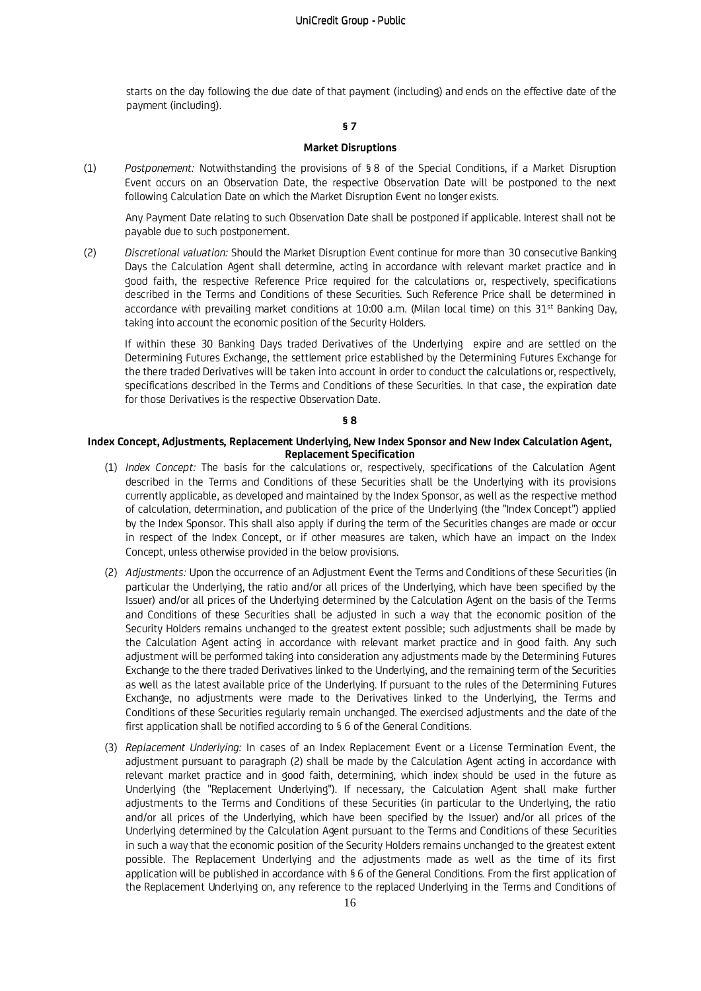starts on the day following the due date of that payment (including) and ends on the effective date of the payment (including).

## **§ 7**

## **Market Disruptions**

(1) *Postponement:* Notwithstanding the provisions of § 8 of the Special Conditions, if a Market Disruption Event occurs on an Observation Date, the respective Observation Date will be postponed to the next following Calculation Date on which the Market Disruption Event no longer exists.

Any Payment Date relating to such Observation Date shall be postponed if applicable. Interest shall not be payable due to such postponement.

(2) *Discretional valuation:* Should the Market Disruption Event continue for more than 30 consecutive Banking Days the Calculation Agent shall determine*,* acting in accordance with relevant market practice and in good faith, the respective Reference Price required for the calculations or, respectively, specifications described in the Terms and Conditions of these Securities. Such Reference Price shall be determined in accordance with prevailing market conditions at 10:00 a.m. (Milan local time) on this 31<sup>st</sup> Banking Day, taking into account the economic position of the Security Holders.

If within these 30 Banking Days traded Derivatives of the Underlying expire and are settled on the Determining Futures Exchange, the settlement price established by the Determining Futures Exchange for the there traded Derivatives will be taken into account in order to conduct the calculations or, respectively, specifications described in the Terms and Conditions of these Securities. In that case, the expiration date for those Derivatives is the respective Observation Date.

#### **§ 8**

### **Index Concept, Adjustments, Replacement Underlying, New Index Sponsor and New Index Calculation Agent, Replacement Specification**

- (1) *Index Concept:* The basis for the calculations or, respectively, specifications of the Calculation Agent described in the Terms and Conditions of these Securities shall be the Underlying with its provisions currently applicable, as developed and maintained by the Index Sponsor, as well as the respective method of calculation, determination, and publication of the price of the Underlying (the "Index Concept") applied by the Index Sponsor. This shall also apply if during the term of the Securities changes are made or occur in respect of the Index Concept, or if other measures are taken, which have an impact on the Index Concept, unless otherwise provided in the below provisions.
- (2) *Adjustments:* Upon the occurrence of an Adjustment Event the Terms and Conditions of these Securities (in particular the Underlying, the ratio and/or all prices of the Underlying, which have been specified by the Issuer) and/or all prices of the Underlying determined by the Calculation Agent on the basis of the Terms and Conditions of these Securities shall be adjusted in such a way that the economic position of the Security Holders remains unchanged to the greatest extent possible; such adjustments shall be made by the Calculation Agent acting in accordance with relevant market practice and in good faith. Any such adjustment will be performed taking into consideration any adjustments made by the Determining Futures Exchange to the there traded Derivatives linked to the Underlying, and the remaining term of the Securities as well as the latest available price of the Underlying. If pursuant to the rules of the Determining Futures Exchange, no adjustments were made to the Derivatives linked to the Underlying, the Terms and Conditions of these Securities regularly remain unchanged. The exercised adjustments and the date of the first application shall be notified according to § 6 of the General Conditions.
- (3) *Replacement Underlying:* In cases of an Index Replacement Event or a License Termination Event, the adjustment pursuant to paragraph (2) shall be made by the Calculation Agent acting in accordance with relevant market practice and in good faith, determining, which index should be used in the future as Underlying (the "Replacement Underlying"). If necessary, the Calculation Agent shall make further adjustments to the Terms and Conditions of these Securities (in particular to the Underlying, the ratio and/or all prices of the Underlying, which have been specified by the Issuer) and/or all prices of the Underlying determined by the Calculation Agent pursuant to the Terms and Conditions of these Securities in such a way that the economic position of the Security Holders remains unchanged to the greatest extent possible. The Replacement Underlying and the adjustments made as well as the time of its first application will be published in accordance with § 6 of the General Conditions. From the first application of the Replacement Underlying on, any reference to the replaced Underlying in the Terms and Conditions of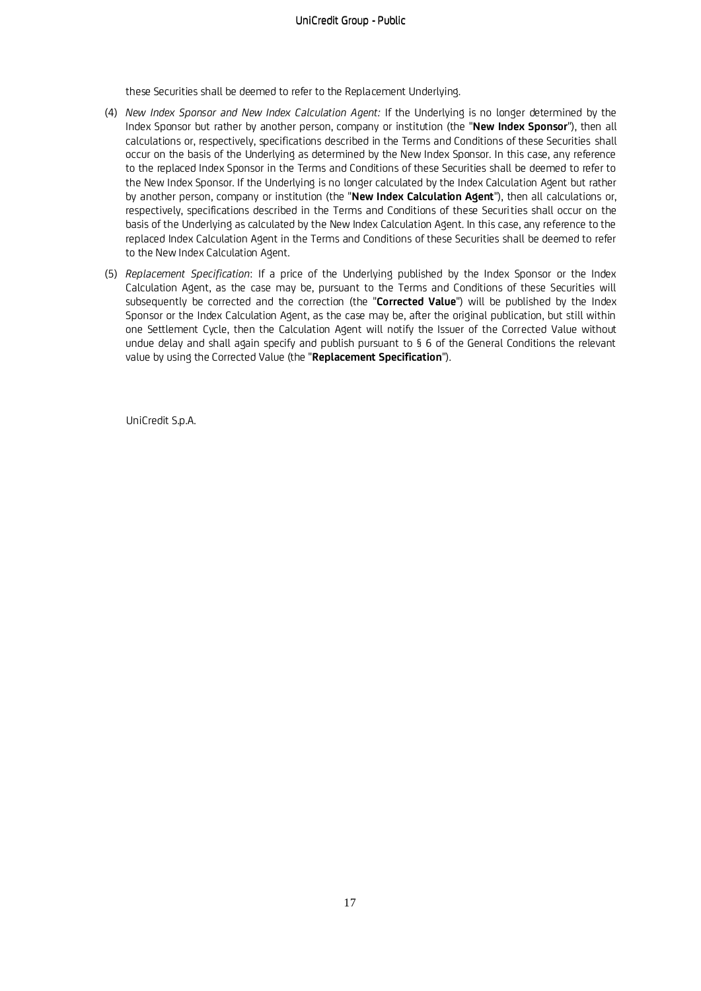these Securities shall be deemed to refer to the Replacement Underlying.

- (4) *New Index Sponsor and New Index Calculation Agent:* If the Underlying is no longer determined by the Index Sponsor but rather by another person, company or institution (the "**New Index Sponsor**"), then all calculations or, respectively, specifications described in the Terms and Conditions of these Securities shall occur on the basis of the Underlying as determined by the New Index Sponsor. In this case, any reference to the replaced Index Sponsor in the Terms and Conditions of these Securities shall be deemed to refer to the New Index Sponsor. If the Underlying is no longer calculated by the Index Calculation Agent but rather by another person, company or institution (the "**New Index Calculation Agent**"), then all calculations or, respectively, specifications described in the Terms and Conditions of these Securities shall occur on the basis of the Underlying as calculated by the New Index Calculation Agent. In this case, any reference to the replaced Index Calculation Agent in the Terms and Conditions of these Securities shall be deemed to refer to the New Index Calculation Agent.
- (5) *Replacement Specification*: If a price of the Underlying published by the Index Sponsor or the Index Calculation Agent, as the case may be, pursuant to the Terms and Conditions of these Securities will subsequently be corrected and the correction (the "**Corrected Value**") will be published by the Index Sponsor or the Index Calculation Agent, as the case may be, after the original publication, but still within one Settlement Cycle, then the Calculation Agent will notify the Issuer of the Corrected Value without undue delay and shall again specify and publish pursuant to § 6 of the General Conditions the relevant value by using the Corrected Value (the "**Replacement Specification**").

UniCredit S.p.A.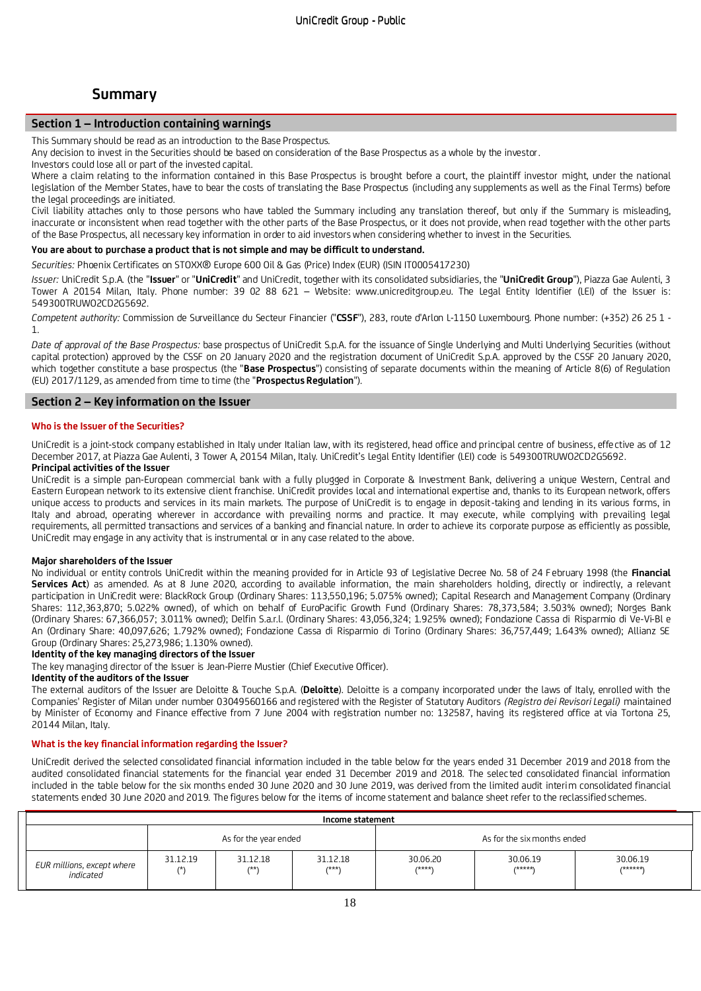# **Summary**

## **Section 1 – Introduction containing warnings**

This Summary should be read as an introduction to the Base Prospectus.

Any decision to invest in the Securities should be based on consideration of the Base Prospectus as a whole by the investor.

Investors could lose all or part of the invested capital.

Where a claim relating to the information contained in this Base Prospectus is brought before a court, the plaintiff investor might, under the national legislation of the Member States, have to bear the costs of translating the Base Prospectus (including any supplements as well as the Final Terms) before the legal proceedings are initiated.

Civil liability attaches only to those persons who have tabled the Summary including any translation thereof, but only if the Summary is misleading, inaccurate or inconsistent when read together with the other parts of the Base Prospectus, or it does not provide, when read together with the other parts of the Base Prospectus, all necessary key information in order to aid investors when considering whether to invest in the Securities.

## **You are about to purchase a product that is not simple and may be difficult to understand.**

*Securities:* Phoenix Certificates on STOXX® Europe 600 Oil & Gas (Price) Index (EUR) (ISIN IT0005417230)

*Issuer:* UniCredit S.p.A. (the "**Issuer**" or "**UniCredit**" and UniCredit, together with its consolidated subsidiaries, the "**UniCredit Group**"), Piazza Gae Aulenti, 3 Tower A 20154 Milan, Italy. Phone number: 39 02 88 621 – Website: www.unicreditgroup.eu. The Legal Entity Identifier (LEI) of the Issuer is: 549300TRUWO2CD2G5692.

*Competent authority:* Commission de Surveillance du Secteur Financier ("**CSSF**"), 283, route d'Arlon L-1150 Luxembourg. Phone number: (+352) 26 25 1 - 1.

*Date of approval of the Base Prospectus:* base prospectus of UniCredit S.p.A. for the issuance of Single Underlying and Multi Underlying Securities (without capital protection) approved by the CSSF on 20 January 2020 and the registration document of UniCredit S.p.A. approved by the CSSF 20 January 2020, which together constitute a base prospectus (the "**Base Prospectus**") consisting of separate documents within the meaning of Article 8(6) of Regulation (EU) 2017/1129, as amended from time to time (the "**Prospectus Regulation**").

### **Section 2 – Key information on the Issuer**

#### **Who is the Issuer of the Securities?**

UniCredit is a joint-stock company established in Italy under Italian law, with its registered, head office and principal centre of business, effe ctive as of 12 December 2017, at Piazza Gae Aulenti, 3 Tower A, 20154 Milan, Italy. UniCredit's Legal Entity Identifier (LEI) code is 549300TRUWO2CD2G5692.

## **Principal activities of the Issuer**

UniCredit is a simple pan-European commercial bank with a fully plugged in Corporate & Investment Bank, delivering a unique Western, Central and Eastern European network to its extensive client franchise. UniCredit provides local and international expertise and, thanks to its European network, offers unique access to products and services in its main markets. The purpose of UniCredit is to engage in deposit-taking and lending in its various forms, in Italy and abroad, operating wherever in accordance with prevailing norms and practice. It may execute, while complying with prevailing legal requirements, all permitted transactions and services of a banking and financial nature. In order to achieve its corporate purpose as efficiently as possible, UniCredit may engage in any activity that is instrumental or in any case related to the above.

#### **Major shareholders of the Issuer**

No individual or entity controls UniCredit within the meaning provided for in Article 93 of Legislative Decree No. 58 of 24 F ebruary 1998 (the **Financial Services Act**) as amended. As at 8 June 2020, according to available information, the main shareholders holding, directly or indirectly, a relevant participation in UniCredit were: BlackRock Group (Ordinary Shares: 113,550,196; 5.075% owned); Capital Research and Management Company (Ordinary Shares: 112,363,870; 5.022% owned), of which on behalf of EuroPacific Growth Fund (Ordinary Shares: 78,373,584; 3.503% owned); Norges Bank (Ordinary Shares: 67,366,057; 3.011% owned); Delfin S.a.r.l. (Ordinary Shares: 43,056,324; 1.925% owned); Fondazione Cassa di Risparmio di Ve-Vi-Bl e An (Ordinary Share: 40,097,626; 1.792% owned); Fondazione Cassa di Risparmio di Torino (Ordinary Shares: 36,757,449; 1.643% owned); Allianz SE Group (Ordinary Shares: 25,273,986; 1.130% owned).

## **Identity of the key managing directors of the Issuer**

The key managing director of the Issuer is Jean-Pierre Mustier (Chief Executive Officer).

#### **Identity of the auditors of the Issuer**

The external auditors of the Issuer are Deloitte & Touche S.p.A. (**Deloitte**). Deloitte is a company incorporated under the laws of Italy, enrolled with the Companies' Register of Milan under number 03049560166 and registered with the Register of Statutory Auditors *(Registro dei Revisori Legali)* maintained by Minister of Economy and Finance effective from 7 June 2004 with registration number no: 132587, having its registered office at via Tortona 25, 20144 Milan, Italy.

#### **What is the key financial information regarding the Issuer?**

UniCredit derived the selected consolidated financial information included in the table below for the years ended 31 December 2019 and 2018 from the audited consolidated financial statements for the financial year ended 31 December 2019 and 2018. The selec ted consolidated financial information included in the table below for the six months ended 30 June 2020 and 30 June 2019, was derived from the limited audit interim consolidated financial statements ended 30 June 2020 and 2019. The figures below for the items of income statement and balance sheet refer to the reclassified schemes.

| Income statement                        |                |                       |                   |                             |                     |                     |
|-----------------------------------------|----------------|-----------------------|-------------------|-----------------------------|---------------------|---------------------|
|                                         |                | As for the year ended |                   | As for the six months ended |                     |                     |
| EUR millions, except where<br>indicated | 31.12.19<br>7* | 31.12.18<br>$7 * *$   | 31.12.18<br>/***\ | 30.06.20<br>/****'          | 30.06.19<br>/*****\ | 30.06.19<br>/****** |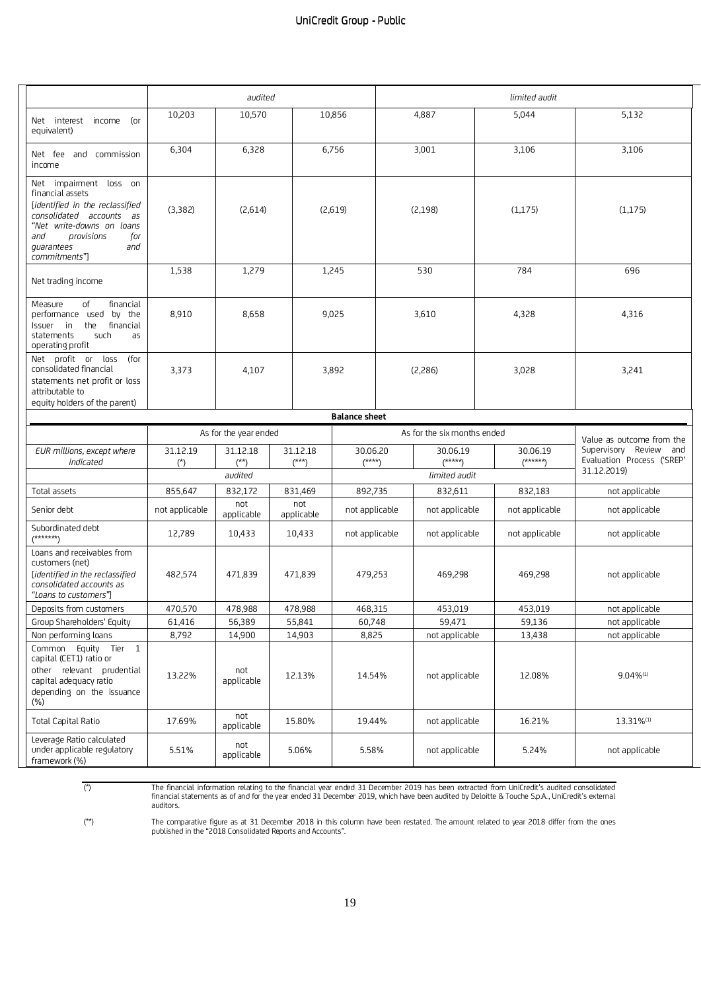|                                                                                                                                                                                                          |                           | audited                      |  |                              |                           | limited audit               |                           |  |                           |                                                                     |
|----------------------------------------------------------------------------------------------------------------------------------------------------------------------------------------------------------|---------------------------|------------------------------|--|------------------------------|---------------------------|-----------------------------|---------------------------|--|---------------------------|---------------------------------------------------------------------|
| Net interest income<br>(or<br>equivalent)                                                                                                                                                                | 10,203                    | 10,570                       |  |                              | 10,856                    |                             | 4,887                     |  | 5,044                     | 5,132                                                               |
| Net fee and commission<br>income                                                                                                                                                                         | 6,304                     | 6,328                        |  |                              | 6,756                     |                             | 3,001                     |  | 3,106                     | 3,106                                                               |
| Net impairment loss on<br>financial assets<br>[identified in the reclassified<br>consolidated accounts as<br>"Net write-downs on loans<br>and<br>provisions<br>for<br>quarantees<br>and<br>commitments"] | (3,382)                   | (2,614)                      |  |                              | (2,619)                   |                             | (2, 198)                  |  | (1, 175)                  | (1, 175)                                                            |
| Net trading income                                                                                                                                                                                       | 1,538                     | 1,279                        |  |                              | 1,245                     |                             | 530                       |  | 784                       | 696                                                                 |
| of<br>financial<br>Measure<br>performance used by the<br>Issuer in<br>the<br>financial<br>statements<br>such<br>as<br>operating profit                                                                   | 8,910                     | 8,658                        |  |                              | 9,025                     |                             | 3,610                     |  | 4,328                     | 4,316                                                               |
| Net profit or loss<br>(for<br>consolidated financial<br>statements net profit or loss<br>attributable to<br>equity holders of the parent)                                                                | 3,373                     | 4,107                        |  |                              | 3,892                     |                             | (2,286)                   |  | 3,028                     | 3,241                                                               |
|                                                                                                                                                                                                          |                           |                              |  |                              | <b>Balance sheet</b>      |                             |                           |  |                           |                                                                     |
|                                                                                                                                                                                                          |                           | As for the year ended        |  |                              |                           | As for the six months ended |                           |  |                           | Value as outcome from the                                           |
| EUR millions, except where<br>indicated                                                                                                                                                                  | 31.12.19<br>$(*)$         | 31.12.18<br>$(**)$           |  | 31.12.18<br>$(***)$          | 30.06.20<br>$(***)$       |                             | 30.06.19<br>$(****")$     |  | 30.06.19<br>$(*****)$     | Supervisory Review and<br>Evaluation Process ('SREP'<br>31.12.2019) |
|                                                                                                                                                                                                          |                           | audited                      |  |                              |                           |                             | limited audit             |  |                           |                                                                     |
| Total assets<br>Senior debt                                                                                                                                                                              | 855,647<br>not applicable | 832,172<br>not<br>applicable |  | 831,469<br>not<br>applicable | 892,735<br>not applicable |                             | 832,611<br>not applicable |  | 832,183<br>not applicable | not applicable<br>not applicable                                    |
| Subordinated debt<br>/*******                                                                                                                                                                            | 12,789                    | 10,433                       |  | 10,433                       | not applicable            |                             | not applicable            |  | not applicable            | not applicable                                                      |
| Loans and receivables from<br>customers (net)<br>[identified in the reclassified<br>consolidated accounts as<br>"Loans to customers"]                                                                    | 482,574                   | 471,839                      |  | 471,839                      | 479,253                   |                             | 469,298                   |  | 469,298                   | not applicable                                                      |
| Deposits from customers                                                                                                                                                                                  | 470,570                   | 478,988                      |  | 478,988                      | 468,315                   |                             | 453,019                   |  | 453,019                   | not applicable                                                      |
| Group Shareholders' Equity                                                                                                                                                                               | 61,416                    | 56,389                       |  | 55,841                       | 60,748                    |                             | 59,471                    |  | 59,136                    | not applicable                                                      |
| Non performing loans                                                                                                                                                                                     | 8,792                     | 14,900                       |  | 14,903                       | 8,825                     |                             | not applicable            |  | 13,438                    | not applicable                                                      |
| Common Equity Tier 1<br>capital (CET1) ratio or<br>other relevant prudential<br>capital adequacy ratio<br>depending on the issuance<br>(%)                                                               | 13.22%                    | not<br>applicable            |  | 12.13%                       | 14.54%                    |                             | not applicable            |  | 12.08%                    | $9.04\%^{(1)}$                                                      |
| <b>Total Capital Ratio</b>                                                                                                                                                                               | 17.69%                    | not<br>applicable            |  | 15.80%                       | 19.44%                    |                             | not applicable            |  | 16.21%                    | 13.31%(1)                                                           |
| Leverage Ratio calculated<br>under applicable regulatory<br>framework (%)                                                                                                                                | 5.51%                     | not<br>applicable            |  | 5.06%                        | 5.58%                     |                             | not applicable            |  | 5.24%                     | not applicable                                                      |

The financial information relating to the financial year ended 31 December 2019 has been extracted from UniCredit's audited consolidated)<br>financial statements as of and for the year ended 31 December 2019, which have been auditors.

(\*\*) The comparative figure as at 31 December 2018 in this column have been restated. The amount related to year 2018 differ from the ones published in the "2018 Consolidated Reports and Accounts".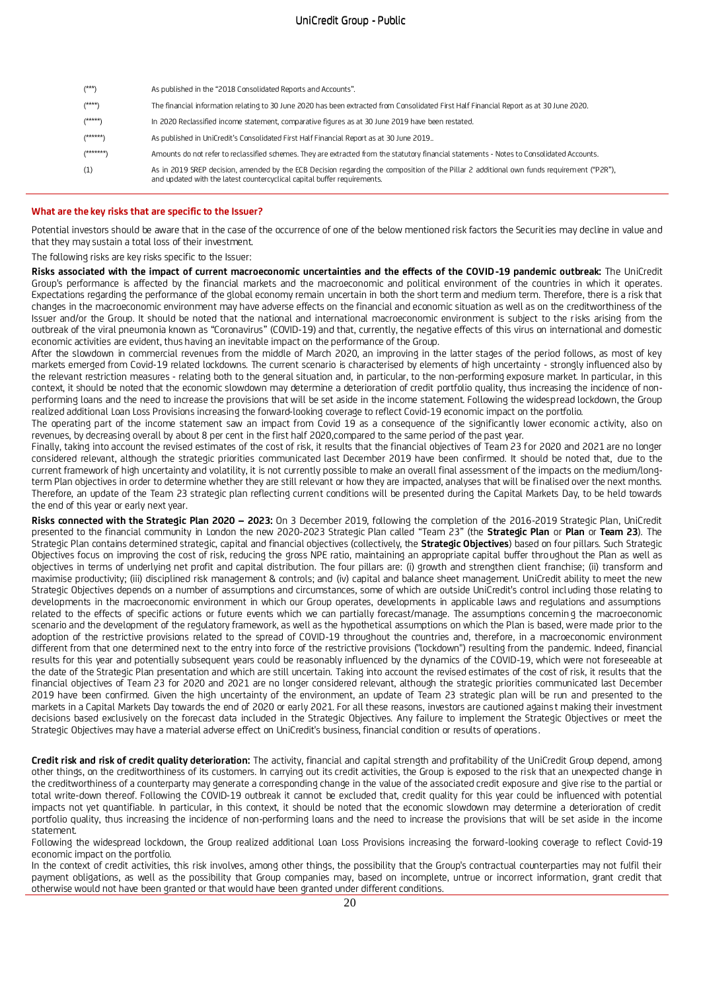| $(***)$   | As published in the "2018 Consolidated Reports and Accounts".                                                                                                                                                         |
|-----------|-----------------------------------------------------------------------------------------------------------------------------------------------------------------------------------------------------------------------|
| $(****)$  | The financial information relating to 30 June 2020 has been extracted from Consolidated First Half Financial Report as at 30 June 2020.                                                                               |
| $(****)$  | In 2020 Reclassified income statement, comparative figures as at 30 June 2019 have been restated.                                                                                                                     |
| $(*****)$ | As published in UniCredit's Consolidated First Half Financial Report as at 30 June 2019                                                                                                                               |
| $(*****)$ | Amounts do not refer to reclassified schemes. They are extracted from the statutory financial statements - Notes to Consolidated Accounts.                                                                            |
| (1)       | As in 2019 SREP decision, amended by the ECB Decision regarding the composition of the Pillar 2 additional own funds requirement ("P2R"),<br>and updated with the latest countercyclical capital buffer requirements. |

#### **What are the key risks that are specific to the Issuer?**

Potential investors should be aware that in the case of the occurrence of one of the below mentioned risk factors the Securities may decline in value and that they may sustain a total loss of their investment.

The following risks are key risks specific to the Issuer:

**Risks associated with the impact of current macroeconomic uncertainties and the effects of the COVID-19 pandemic outbreak:** The UniCredit Group's performance is affected by the financial markets and the macroeconomic and political environment of the countries in which it operates. Expectations regarding the performance of the global economy remain uncertain in both the short term and medium term. Therefore, there is a risk that changes in the macroeconomic environment may have adverse effects on the financial and economic situation as well as on the creditworthiness of the Issuer and/or the Group. It should be noted that the national and international macroeconomic environment is subject to the risks arising from the outbreak of the viral pneumonia known as "Coronavirus" (COVID-19) and that, currently, the negative effects of this virus on international and domestic economic activities are evident, thus having an inevitable impact on the performance of the Group.

After the slowdown in commercial revenues from the middle of March 2020, an improving in the latter stages of the period follows, as most of key markets emerged from Covid-19 related lockdowns. The current scenario is characterised by elements of high uncertainty - strongly influenced also by the relevant restriction measures - relating both to the general situation and, in particular, to the non-performing exposure market. In particular, in this context, it should be noted that the economic slowdown may determine a deterioration of credit portfolio quality, thus increasing the incidence of nonperforming loans and the need to increase the provisions that will be set aside in the income statement. Following the widespread lockdown, the Group realized additional Loan Loss Provisions increasing the forward-looking coverage to reflect Covid-19 economic impact on the portfolio.

The operating part of the income statement saw an impact from Covid 19 as a consequence of the significantly lower economic a ctivity, also on revenues, by decreasing overall by about 8 per cent in the first half 2020,compared to the same period of the past year.

Finally, taking into account the revised estimates of the cost of risk, it results that the financial objectives of Team 23 for 2020 and 2021 are no longer considered relevant, although the strategic priorities communicated last December 2019 have been confirmed. It should be noted that, due to the current framework of high uncertainty and volatility, it is not currently possible to make an overall final assessment of the impacts on the medium/longterm Plan objectives in order to determine whether they are still relevant or how they are impacted, analyses that will be finalised over the next months. Therefore, an update of the Team 23 strategic plan reflecting current conditions will be presented during the Capital Markets Day, to be held towards the end of this year or early next year.

**Risks connected with the Strategic Plan 2020 – 2023:** On 3 December 2019, following the completion of the 2016-2019 Strategic Plan, UniCredit presented to the financial community in London the new 2020-2023 Strategic Plan called "Team 23" (the **Strategic Plan** or **Plan** or **Team 23**). The Strategic Plan contains determined strategic, capital and financial objectives (collectively, the **Strategic Objectives**) based on four pillars. Such Strategic Objectives focus on improving the cost of risk, reducing the gross NPE ratio, maintaining an appropriate capital buffer throughout the Plan as well as objectives in terms of underlying net profit and capital distribution. The four pillars are: (i) growth and strengthen client franchise; (ii) transform and maximise productivity; (iii) disciplined risk management & controls; and (iv) capital and balance sheet management. UniCredit ability to meet the new Strategic Objectives depends on a number of assumptions and circumstances, some of which are outside UniCredit's control including those relating to developments in the macroeconomic environment in which our Group operates, developments in applicable laws and regulations and assumptions related to the effects of specific actions or future events which we can partially forecast/manage. The assumptions concernin g the macroeconomic scenario and the development of the regulatory framework, as well as the hypothetical assumptions on which the Plan is based, were made prior to the adoption of the restrictive provisions related to the spread of COVID-19 throughout the countries and, therefore, in a macroeconomic environment different from that one determined next to the entry into force of the restrictive provisions ("lockdown") resulting from the pandemic. Indeed, financial results for this year and potentially subsequent years could be reasonably influenced by the dynamics of the COVID-19, which were not foreseeable at the date of the Strategic Plan presentation and which are still uncertain. Taking into account the revised estimates of the cost of risk, it results that the financial objectives of Team 23 for 2020 and 2021 are no longer considered relevant, although the strategic priorities communicated last December 2019 have been confirmed. Given the high uncertainty of the environment, an update of Team 23 strategic plan will be run and presented to the markets in a Capital Markets Day towards the end of 2020 or early 2021. For all these reasons, investors are cautioned agains t making their investment decisions based exclusively on the forecast data included in the Strategic Objectives. Any failure to implement the Strategic Objectives or meet the Strategic Objectives may have a material adverse effect on UniCredit's business, financial condition or results of operations .

**Credit risk and risk of credit quality deterioration:** The activity, financial and capital strength and profitability of the UniCredit Group depend, among other things, on the creditworthiness of its customers. In carrying out its credit activities, the Group is exposed to the risk that an unexpected change in the creditworthiness of a counterparty may generate a corresponding change in the value of the associated credit exposure and give rise to the partial or total write-down thereof. Following the COVID-19 outbreak it cannot be excluded that, credit quality for this year could be influenced with potential impacts not yet quantifiable. In particular, in this context, it should be noted that the economic slowdown may determine a deterioration of credit portfolio quality, thus increasing the incidence of non-performing loans and the need to increase the provisions that will be set aside in the income statement.

Following the widespread lockdown, the Group realized additional Loan Loss Provisions increasing the forward-looking coverage to reflect Covid-19 economic impact on the portfolio.

In the context of credit activities, this risk involves, among other things, the possibility that the Group's contractual counterparties may not fulfil their payment obligations, as well as the possibility that Group companies may, based on incomplete, untrue or incorrect information, grant credit that otherwise would not have been granted or that would have been granted under different conditions.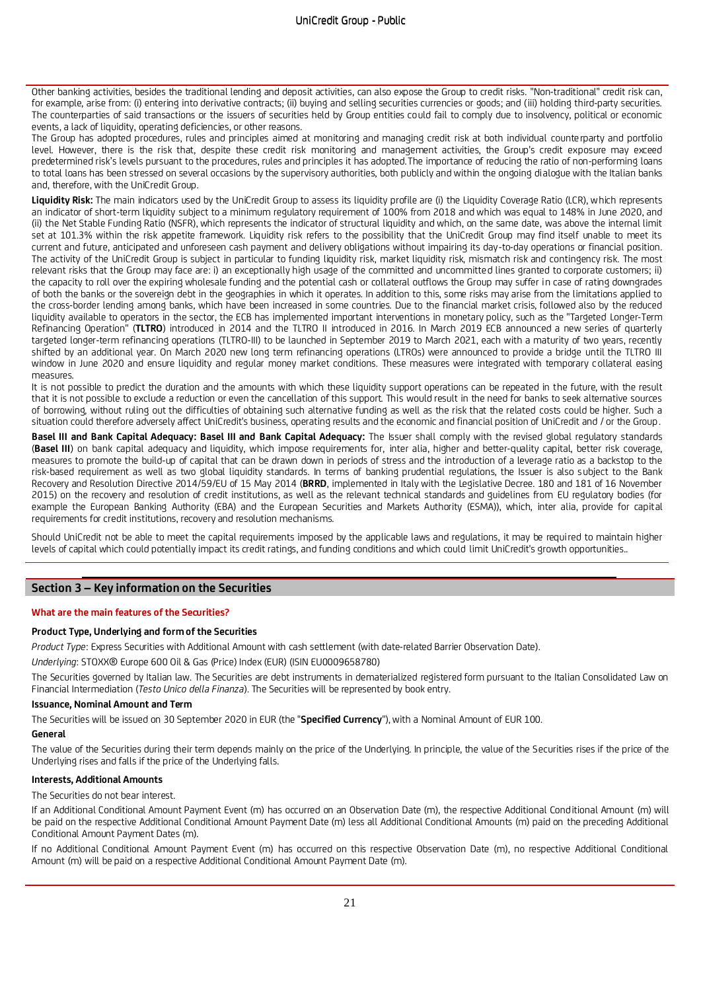Other banking activities, besides the traditional lending and deposit activities, can also expose the Group to credit risks. "Non-traditional" credit risk can, for example, arise from: (i) entering into derivative contracts; (ii) buying and selling securities currencies or goods; and (iii) holding third-party securities. The counterparties of said transactions or the issuers of securities held by Group entities could fail to comply due to insolvency, political or economic events, a lack of liquidity, operating deficiencies, or other reasons.

The Group has adopted procedures, rules and principles aimed at monitoring and managing credit risk at both individual counte rparty and portfolio level. However, there is the risk that, despite these credit risk monitoring and management activities, the Group's credit exposure may exceed predetermined risk's levels pursuant to the procedures, rules and principles it has adopted.The importance of reducing the ratio of non-performing loans to total loans has been stressed on several occasions by the supervisory authorities, both publicly and within the ongoing dialogue with the Italian banks and, therefore, with the UniCredit Group.

Liquidity Risk: The main indicators used by the UniCredit Group to assess its liquidity profile are (i) the Liquidity Coverage Ratio (LCR), which represents an indicator of short-term liquidity subject to a minimum regulatory requirement of 100% from 2018 and which was equal to 148% in June 2020, and (ii) the Net Stable Funding Ratio (NSFR), which represents the indicator of structural liquidity and which, on the same date, was above the internal limit set at 101.3% within the risk appetite framework. Liquidity risk refers to the possibility that the UniCredit Group may find itself unable to meet its current and future, anticipated and unforeseen cash payment and delivery obligations without impairing its day-to-day operations or financial position. The activity of the UniCredit Group is subject in particular to funding liquidity risk, market liquidity risk, mismatch risk and contingency risk. The most relevant risks that the Group may face are: i) an exceptionally high usage of the committed and uncommitted lines granted to corporate customers; ii) the capacity to roll over the expiring wholesale funding and the potential cash or collateral outflows the Group may suffer in case of rating downgrades of both the banks or the sovereign debt in the geographies in which it operates. In addition to this, some risks may arise from the limitations applied to the cross-border lending among banks, which have been increased in some countries. Due to the financial market crisis, followed also by the reduced liquidity available to operators in the sector, the ECB has implemented important interventions in monetary policy, such as the "Targeted Longer-Term Refinancing Operation" (**TLTRO**) introduced in 2014 and the TLTRO II introduced in 2016. In March 2019 ECB announced a new series of quarterly targeted longer-term refinancing operations (TLTRO-III) to be launched in September 2019 to March 2021, each with a maturity of two years, recently shifted by an additional year. On March 2020 new long term refinancing operations (LTROs) were announced to provide a bridge until the TLTRO III window in June 2020 and ensure liquidity and regular money market conditions. These measures were integrated with temporary collateral easing measures.

It is not possible to predict the duration and the amounts with which these liquidity support operations can be repeated in the future, with the result that it is not possible to exclude a reduction or even the cancellation of this support. This would result in the need for banks to seek alternative sources of borrowing, without ruling out the difficulties of obtaining such alternative funding as well as the risk that the related costs could be higher. Such a situation could therefore adversely affect UniCredit's business, operating results and the economic and financial position of UniCredit and / or the Group.

Basel III and Bank Capital Adequacy: Basel III and Bank Capital Adequacy: The Issuer shall comply with the revised global regulatory standards (**Basel III**) on bank capital adequacy and liquidity, which impose requirements for, inter alia, higher and better-quality capital, better risk coverage, measures to promote the build-up of capital that can be drawn down in periods of stress and the introduction of a leverage ratio as a backstop to the risk-based requirement as well as two global liquidity standards. In terms of banking prudential regulations, the Issuer is also subject to the Bank Recovery and Resolution Directive 2014/59/EU of 15 May 2014 (**BRRD**, implemented in Italy with the Legislative Decree. 180 and 181 of 16 November 2015) on the recovery and resolution of credit institutions, as well as the relevant technical standards and guidelines from EU regulatory bodies (for example the European Banking Authority (EBA) and the European Securities and Markets Authority (ESMA)), which, inter alia, provide for capital requirements for credit institutions, recovery and resolution mechanisms.

Should UniCredit not be able to meet the capital requirements imposed by the applicable laws and regulations, it may be required to maintain higher levels of capital which could potentially impact its credit ratings, and funding conditions and which could limit UniCredit's growth opportunities..

### **Section 3 – Key information on the Securities**

#### **What are the main features of the Securities?**

#### **Product Type, Underlying and form of the Securities**

*Product Type*: Express Securities with Additional Amount with cash settlement (with date-related Barrier Observation Date).

*Underlying*: STOXX® Europe 600 Oil & Gas (Price) Index (EUR) (ISIN EU0009658780)

The Securities governed by Italian law. The Securities are debt instruments in dematerialized registered form pursuant to the Italian Consolidated Law on Financial Intermediation (*Testo Unico della Finanza*). The Securities will be represented by book entry.

#### **Issuance, Nominal Amount and Term**

The Securities will be issued on 30 September 2020 in EUR (the "**Specified Currency**"), with a Nominal Amount of EUR 100.

#### **General**

The value of the Securities during their term depends mainly on the price of the Underlying. In principle, the value of the Securities rises if the price of the Underlying rises and falls if the price of the Underlying falls.

#### **Interests, Additional Amounts**

The Securities do not bear interest.

If an Additional Conditional Amount Payment Event (m) has occurred on an Observation Date (m), the respective Additional Conditional Amount (m) will be paid on the respective Additional Conditional Amount Payment Date (m) less all Additional Conditional Amounts (m) paid on the preceding Additional Conditional Amount Payment Dates (m).

If no Additional Conditional Amount Payment Event (m) has occurred on this respective Observation Date (m), no respective Additional Conditional Amount (m) will be paid on a respective Additional Conditional Amount Payment Date (m).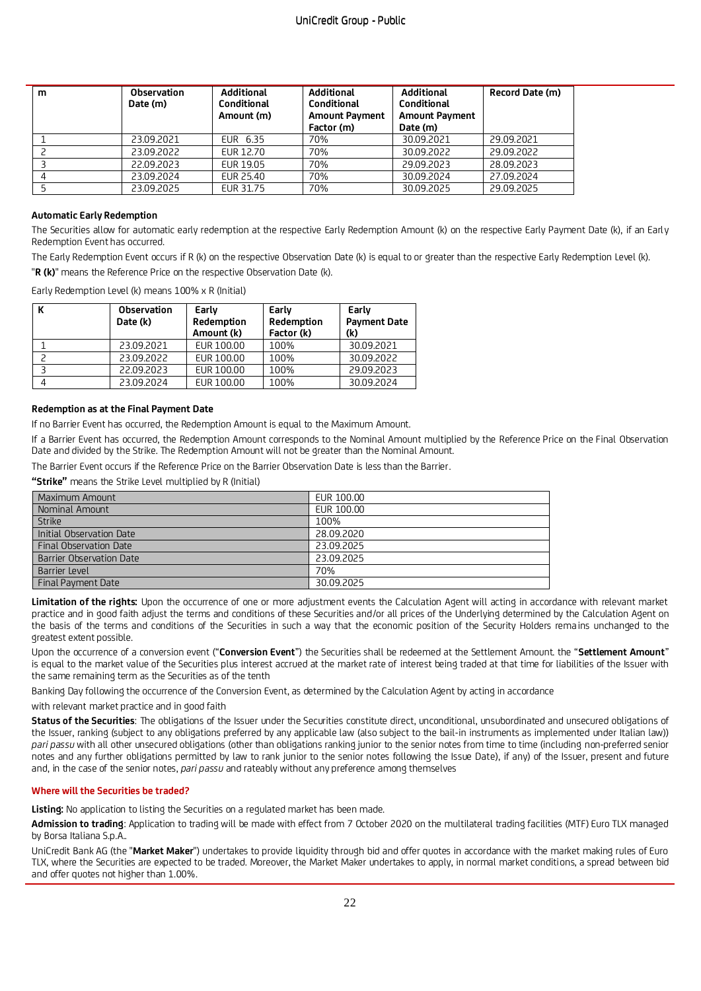| m | <b>Observation</b><br>Date (m) | <b>Additional</b><br>Conditional<br>Amount (m) | <b>Additional</b><br>Conditional<br><b>Amount Payment</b><br>Factor (m) | <b>Additional</b><br>Conditional<br><b>Amount Payment</b><br>Date (m) | Record Date (m) |
|---|--------------------------------|------------------------------------------------|-------------------------------------------------------------------------|-----------------------------------------------------------------------|-----------------|
|   | 23.09.2021                     | EUR 6.35                                       | 70%                                                                     | 30.09.2021                                                            | 29.09.2021      |
|   | 23.09.2022                     | EUR 12.70                                      | 70%                                                                     | 30.09.2022                                                            | 29.09.2022      |
|   | 22.09.2023                     | EUR 19.05                                      | 70%                                                                     | 29.09.2023                                                            | 28.09.2023      |
|   | 23.09.2024                     | EUR 25.40                                      | 70%                                                                     | 30.09.2024                                                            | 27.09.2024      |
|   | 23.09.2025                     | EUR 31.75                                      | 70%                                                                     | 30.09.2025                                                            | 29.09.2025      |

### **Automatic Early Redemption**

The Securities allow for automatic early redemption at the respective Early Redemption Amount (k) on the respective Early Payment Date (k), if an Early Redemption Event has occurred.

The Early Redemption Event occurs if R (k) on the respective Observation Date (k) is equal to or greater than the respective Early Redemption Level (k).

"**R (k)**" means the Reference Price on the respective Observation Date (k).

Early Redemption Level (k) means 100% x R (Initial)

| <b>Observation</b><br>Date (k) | Early<br>Redemption<br>Amount (k) | Early<br>Redemption<br>Factor (k) | Early<br><b>Payment Date</b><br>(k) |
|--------------------------------|-----------------------------------|-----------------------------------|-------------------------------------|
| 23.09.2021                     | EUR 100.00                        | 100%                              | 30.09.2021                          |
| 23.09.2022                     | EUR 100.00                        | 100%                              | 30.09.2022                          |
| 22.09.2023                     | EUR 100.00                        | 100%                              | 29.09.2023                          |
| 23.09.2024                     | EUR 100.00                        | 100%                              | 30.09.2024                          |

## **Redemption as at the Final Payment Date**

If no Barrier Event has occurred, the Redemption Amount is equal to the Maximum Amount.

If a Barrier Event has occurred, the Redemption Amount corresponds to the Nominal Amount multiplied by the Reference Price on the Final Observation Date and divided by the Strike. The Redemption Amount will not be greater than the Nominal Amount.

The Barrier Event occurs if the Reference Price on the Barrier Observation Date is less than the Barrier.

**"Strike"** means the Strike Level multiplied by R (Initial)

| Maximum Amount            | EUR 100.00 |
|---------------------------|------------|
| Nominal Amount            | EUR 100.00 |
| <b>Strike</b>             | 100%       |
| Initial Observation Date  | 28.09.2020 |
| Final Observation Date    | 23.09.2025 |
| Barrier Observation Date  | 23.09.2025 |
| Barrier Level             | 70%        |
| <b>Final Payment Date</b> | 30.09.2025 |

**Limitation of the rights:** Upon the occurrence of one or more adjustment events the Calculation Agent will acting in accordance with relevant market practice and in good faith adjust the terms and conditions of these Securities and/or all prices of the Underlying determined by the Calculation Agent on the basis of the terms and conditions of the Securities in such a way that the economic position of the Security Holders rema ins unchanged to the greatest extent possible.

Upon the occurrence of a conversion event ("**Conversion Event**") the Securities shall be redeemed at the Settlement Amount. the "**Settlement Amount**" is equal to the market value of the Securities plus interest accrued at the market rate of interest being traded at that time for liabilities of the Issuer with the same remaining term as the Securities as of the tenth

Banking Day following the occurrence of the Conversion Event, as determined by the Calculation Agent by acting in accordance

with relevant market practice and in good faith

**Status of the Securities**: The obligations of the Issuer under the Securities constitute direct, unconditional, unsubordinated and unsecured obligations of the Issuer, ranking (subject to any obligations preferred by any applicable law (also subject to the bail-in instruments as implemented under Italian law)) *pari passu* with all other unsecured obligations (other than obligations ranking junior to the senior notes from time to time (including non-preferred senior notes and any further obligations permitted by law to rank junior to the senior notes following the Issue Date), if any) of the Issuer, present and future and, in the case of the senior notes, *pari passu* and rateably without any preference among themselves

#### **Where will the Securities be traded?**

**Listing:** No application to listing the Securities on a regulated market has been made.

**Admission to trading**: Application to trading will be made with effect from 7 October 2020 on the multilateral trading facilities (MTF) Euro TLX managed by Borsa Italiana S.p.A..

UniCredit Bank AG (the "**Market Maker**") undertakes to provide liquidity through bid and offer quotes in accordance with the market making rules of Euro TLX, where the Securities are expected to be traded. Moreover, the Market Maker undertakes to apply, in normal market conditions, a spread between bid and offer quotes not higher than 1.00%.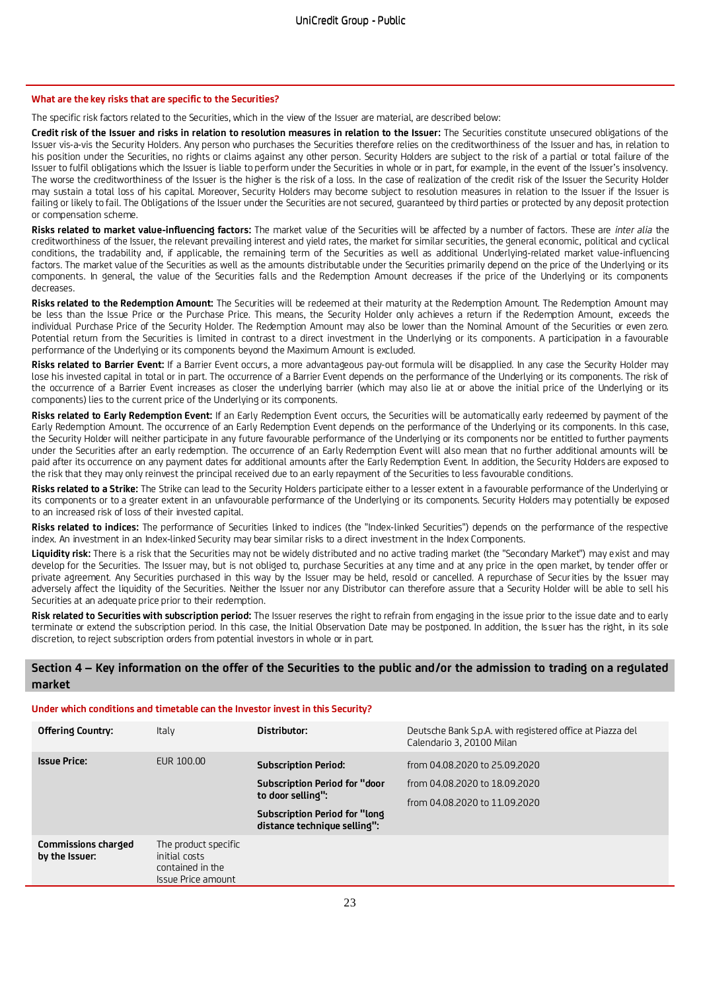#### **What are the key risks that are specific to the Securities?**

The specific risk factors related to the Securities, which in the view of the Issuer are material, are described below:

**Credit risk of the Issuer and risks in relation to resolution measures in relation to the Issuer:** The Securities constitute unsecured obligations of the Issuer vis-a-vis the Security Holders. Any person who purchases the Securities therefore relies on the creditworthiness of the Issuer and has, in relation to his position under the Securities, no rights or claims against any other person. Security Holders are subject to the risk of a partial or total failure of the Issuer to fulfil obligations which the Issuer is liable to perform under the Securities in whole or in part, for example, in the event of the Issuer's insolvency. The worse the creditworthiness of the Issuer is the higher is the risk of a loss. In the case of realization of the credit risk of the Issuer the Security Holder may sustain a total loss of his capital. Moreover, Security Holders may become subject to resolution measures in relation to the Issuer if the Issuer is failing or likely to fail. The Obligations of the Issuer under the Securities are not secured, guaranteed by third parties or protected by any deposit protection or compensation scheme.

**Risks related to market value-influencing factors:** The market value of the Securities will be affected by a number of factors. These are *inter alia* the creditworthiness of the Issuer, the relevant prevailing interest and yield rates, the market for similar securities, the general economic, political and cyclical conditions, the tradability and, if applicable, the remaining term of the Securities as well as additional Underlying-related market value-influencing factors. The market value of the Securities as well as the amounts distributable under the Securities primarily depend on the price of the Underlying or its components. In general, the value of the Securities falls and the Redemption Amount decreases if the price of the Underlying or its components decreases.

**Risks related to the Redemption Amount:** The Securities will be redeemed at their maturity at the Redemption Amount. The Redemption Amount may be less than the Issue Price or the Purchase Price. This means, the Security Holder only achieves a return if the Redemption Amount, exceeds the individual Purchase Price of the Security Holder. The Redemption Amount may also be lower than the Nominal Amount of the Securities or even zero. Potential return from the Securities is limited in contrast to a direct investment in the Underlying or its components. A participation in a favourable performance of the Underlying or its components beyond the Maximum Amount is excluded.

**Risks related to Barrier Event:** If a Barrier Event occurs, a more advantageous pay-out formula will be disapplied. In any case the Security Holder may lose his invested capital in total or in part. The occurrence of a Barrier Event depends on the performance of the Underlying or its components. The risk of the occurrence of a Barrier Event increases as closer the underlying barrier (which may also lie at or above the initial price of the Underlying or its components) lies to the current price of the Underlying or its components.

**Risks related to Early Redemption Event:** If an Early Redemption Event occurs, the Securities will be automatically early redeemed by payment of the Early Redemption Amount. The occurrence of an Early Redemption Event depends on the performance of the Underlying or its components. In this case, the Security Holder will neither participate in any future favourable performance of the Underlying or its components nor be entitled to further payments under the Securities after an early redemption. The occurrence of an Early Redemption Event will also mean that no further additional amounts will be paid after its occurrence on any payment dates for additional amounts after the Early Redemption Event. In addition, the Security Holders are exposed to the risk that they may only reinvest the principal received due to an early repayment of the Securities to less favourable conditions.

**Risks related to a Strike:** The Strike can lead to the Security Holders participate either to a lesser extent in a favourable performance of the Underlying or its components or to a greater extent in an unfavourable performance of the Underlying or its components. Security Holders may potentially be exposed to an increased risk of loss of their invested capital.

**Risks related to indices:** The performance of Securities linked to indices (the "Index-linked Securities") depends on the performance of the respective index. An investment in an Index-linked Security may bear similar risks to a direct investment in the Index Components.

**Liquidity risk:** There is a risk that the Securities may not be widely distributed and no active trading market (the "Secondary Market") may exist and may develop for the Securities. The Issuer may, but is not obliged to, purchase Securities at any time and at any price in the open market, by tender offer or private agreement. Any Securities purchased in this way by the Issuer may be held, resold or cancelled. A repurchase of Securities by the Issuer may adversely affect the liquidity of the Securities. Neither the Issuer nor any Distributor can therefore assure that a Security Holder will be able to sell his Securities at an adequate price prior to their redemption.

**Risk related to Securities with subscription period:** The Issuer reserves the right to refrain from engaging in the issue prior to the issue date and to early terminate or extend the subscription period. In this case, the Initial Observation Date may be postponed. In addition, the Is suer has the right, in its sole discretion, to reject subscription orders from potential investors in whole or in part.

## **Section 4 – Key information on the offer of the Securities to the public and/or the admission to trading on a regulated market**

#### **Under which conditions and timetable can the Investor invest in this Security?**

| <b>Offering Country:</b>                     | Italy                                                                           | Distributor:                                                                                                                                              | Deutsche Bank S.p.A. with registered office at Piazza del<br>Calendario 3, 20100 Milan          |
|----------------------------------------------|---------------------------------------------------------------------------------|-----------------------------------------------------------------------------------------------------------------------------------------------------------|-------------------------------------------------------------------------------------------------|
| <b>Issue Price:</b>                          | EUR 100.00                                                                      | <b>Subscription Period:</b><br><b>Subscription Period for "door</b><br>to door selling":<br>Subscription Period for "long<br>distance technique selling": | from 04.08.2020 to 25.09.2020<br>from 04.08.2020 to 18.09.2020<br>from 04.08.2020 to 11.09.2020 |
| <b>Commissions charged</b><br>by the Issuer: | The product specific<br>initial costs<br>contained in the<br>Issue Price amount |                                                                                                                                                           |                                                                                                 |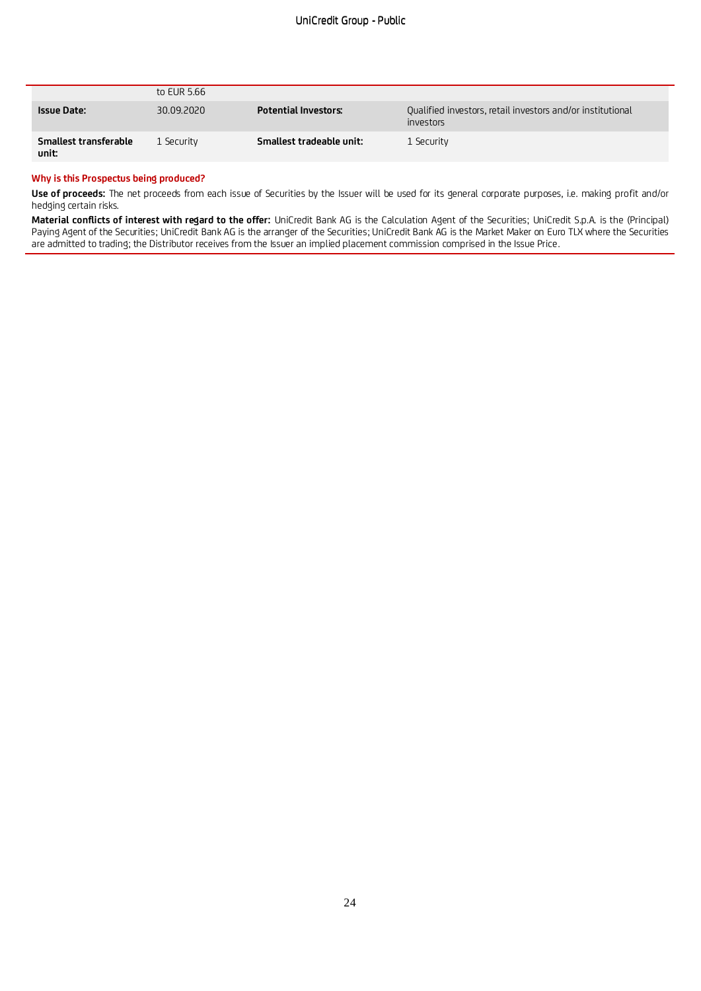|                                | to EUR 5.66 |                             |                                                                         |
|--------------------------------|-------------|-----------------------------|-------------------------------------------------------------------------|
| <b>Issue Date:</b>             | 30.09.2020  | <b>Potential Investors:</b> | Qualified investors, retail investors and/or institutional<br>investors |
| Smallest transferable<br>unit: | 1 Security  | Smallest tradeable unit:    | 1 Security                                                              |

#### **Why is this Prospectus being produced?**

**Use of proceeds:** The net proceeds from each issue of Securities by the Issuer will be used for its general corporate purposes, i.e. making profit and/or hedging certain risks.

**Material conflicts of interest with regard to the offer:** UniCredit Bank AG is the Calculation Agent of the Securities; UniCredit S.p.A. is the (Principal) Paying Agent of the Securities; UniCredit Bank AG is the arranger of the Securities; UniCredit Bank AG is the Market Maker on Euro TLX where the Securities are admitted to trading; the Distributor receives from the Issuer an implied placement commission comprised in the Issue Price.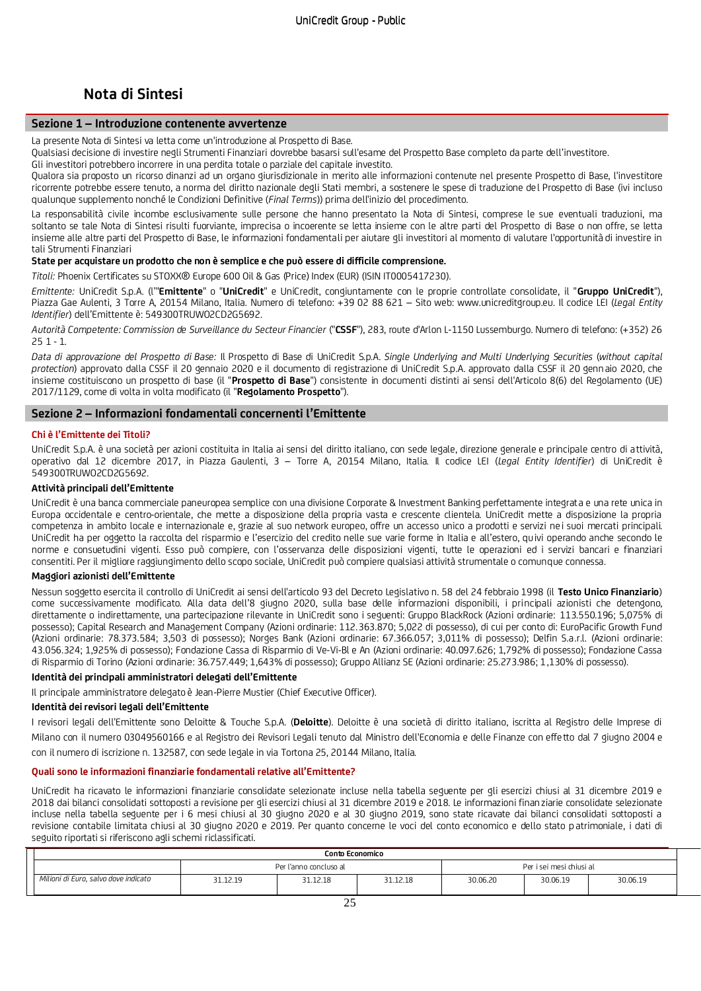# **Nota di Sintesi**

## **Sezione 1 – Introduzione contenente avvertenze**

La presente Nota di Sintesi va letta come un'introduzione al Prospetto di Base.

Qualsiasi decisione di investire negli Strumenti Finanziari dovrebbe basarsi sull'esame del Prospetto Base completo da parte dell'investitore.

Gli investitori potrebbero incorrere in una perdita totale o parziale del capitale investito.

Qualora sia proposto un ricorso dinanzi ad un organo giurisdizionale in merito alle informazioni contenute nel presente Prospetto di Base, l'investitore ricorrente potrebbe essere tenuto, a norma del diritto nazionale degli Stati membri, a sostenere le spese di traduzione del Prospetto di Base (ivi incluso qualunque supplemento nonché le Condizioni Definitive (*Final Terms*)) prima dell'inizio del procedimento.

La responsabilità civile incombe esclusivamente sulle persone che hanno presentato la Nota di Sintesi, comprese le sue eventuali traduzioni, ma soltanto se tale Nota di Sintesi risulti fuorviante, imprecisa o incoerente se letta insieme con le altre parti del Prospetto di Base o non offre, se letta insieme alle altre parti del Prospetto di Base, le informazioni fondamentali per aiutare gli investitori al momento di valutare l'opportunità di investire in tali Strumenti Finanziari

#### **State per acquistare un prodotto che non è semplice e che può essere di difficile comprensione.**

*Titoli:* Phoenix Certificates su STOXX® Europe 600 Oil & Gas (Price) Index (EUR) (ISIN IT0005417230).

*Emittente:* UniCredit S.p.A. (l'"**Emittente**" o "**UniCredit**" e UniCredit, congiuntamente con le proprie controllate consolidate, il "**Gruppo UniCredit**"), Piazza Gae Aulenti, 3 Torre A, 20154 Milano, Italia. Numero di telefono: +39 02 88 621 – Sito web: www.unicreditgroup.eu. Il codice LEI (*Legal Entity Identifier*) dell'Emittente è: 549300TRUWO2CD2G5692.

*Autorità Competente: Commission de Surveillance du Secteur Financier* ("**CSSF**"), 283, route d'Arlon L-1150 Lussemburgo. Numero di telefono: (+352) 26  $251 - 1$ 

*Data di approvazione del Prospetto di Base:* Il Prospetto di Base di UniCredit S.p.A. *Single Underlying and Multi Underlying Securities* (*without capital protection*) approvato dalla CSSF il 20 gennaio 2020 e il documento di registrazione di UniCredit S.p.A. approvato dalla CSSF il 20 gennaio 2020, che insieme costituiscono un prospetto di base (il "**Prospetto di Base**") consistente in documenti distinti ai sensi dell'Articolo 8(6) del Regolamento (UE) 2017/1129, come di volta in volta modificato (il "**Regolamento Prospetto**").

## **Sezione 2 – Informazioni fondamentali concernenti l'Emittente**

#### **Chi è l'Emittente dei Titoli?**

UniCredit S.p.A. è una società per azioni costituita in Italia ai sensi del diritto italiano, con sede legale, direzione generale e principale centro di attività, operativo dal 12 dicembre 2017, in Piazza Gaulenti, 3 – Torre A, 20154 Milano, Italia. Il codice LEI (*Legal Entity Identifier*) di UniCredit è 549300TRUWO2CD2G5692.

#### **Attività principali dell'Emittente**

UniCredit è una banca commerciale paneuropea semplice con una divisione Corporate & Investment Banking perfettamente integrata e una rete unica in Europa occidentale e centro-orientale, che mette a disposizione della propria vasta e crescente clientela. UniCredit mette a disposizione la propria competenza in ambito locale e internazionale e, grazie al suo network europeo, offre un accesso unico a prodotti e servizi ne i suoi mercati principali. UniCredit ha per oggetto la raccolta del risparmio e l'esercizio del credito nelle sue varie forme in Italia e all'estero, quivi operando anche secondo le norme e consuetudini vigenti. Esso può compiere, con l'osservanza delle disposizioni vigenti, tutte le operazioni ed i servizi bancari e finanziari consentiti. Per il migliore raggiungimento dello scopo sociale, UniCredit può compiere qualsiasi attività strumentale o comunque connessa.

## **Maggiori azionisti dell'Emittente**

Nessun soggetto esercita il controllo di UniCredit ai sensi dell'articolo 93 del Decreto Legislativo n. 58 del 24 febbraio 1998 (il **Testo Unico Finanziario**) come successivamente modificato. Alla data dell'8 giugno 2020, sulla base delle informazioni disponibili, i principali azionisti che detengono, direttamente o indirettamente, una partecipazione rilevante in UniCredit sono i seguenti: Gruppo BlackRock (Azioni ordinarie: 113.550.196; 5,075% di possesso); Capital Research and Management Company (Azioni ordinarie: 112.363.870; 5,022 di possesso), di cui per conto di: EuroPacific Growth Fund (Azioni ordinarie: 78.373.584; 3,503 di possesso); Norges Bank (Azioni ordinarie: 67.366.057; 3,011% di possesso); Delfin S.a.r.l. (Azioni ordinarie: 43.056.324; 1,925% di possesso); Fondazione Cassa di Risparmio di Ve-Vi-Bl e An (Azioni ordinarie: 40.097.626; 1,792% di possesso); Fondazione Cassa di Risparmio di Torino (Azioni ordinarie: 36.757.449; 1,643% di possesso); Gruppo Allianz SE (Azioni ordinarie: 25.273.986; 1,130% di possesso).

## **Identità dei principali amministratori delegati dell'Emittente**

Il principale amministratore delegato è Jean-Pierre Mustier (Chief Executive Officer).

### **Identità dei revisori legali dell'Emittente**

I revisori legali dell'Emittente sono Deloitte & Touche S.p.A. (**Deloitte**). Deloitte è una società di diritto italiano, iscritta al Registro delle Imprese di Milano con il numero 03049560166 e al Registro dei Revisori Legali tenuto dal Ministro dell'Economia e delle Finanze con effe tto dal 7 giugno 2004 e con il numero di iscrizione n. 132587, con sede legale in via Tortona 25, 20144 Milano, Italia.

#### **Quali sono le informazioni finanziarie fondamentali relative all'Emittente?**

UniCredit ha ricavato le informazioni finanziarie consolidate selezionate incluse nella tabella seguente per gli esercizi chiusi al 31 dicembre 2019 e 2018 dai bilanci consolidati sottoposti a revisione per gli esercizi chiusi al 31 dicembre 2019 e 2018. Le informazioni finanziarie consolidate selezionate incluse nella tabella seguente per i 6 mesi chiusi al 30 giugno 2020 e al 30 giugno 2019, sono state ricavate dai bilanci consolidati sottoposti a revisione contabile limitata chiusi al 30 giugno 2020 e 2019. Per quanto concerne le voci del conto economico e dello stato p atrimoniale, i dati di seguito riportati si riferiscono agli schemi riclassificati.

| Conto Economico                      |                        |          |          |                          |          |          |
|--------------------------------------|------------------------|----------|----------|--------------------------|----------|----------|
|                                      | Per l'anno concluso al |          |          | Per i sei mesi chiusi al |          |          |
| Milioni di Euro, salvo dove indicato | 31.12.19               | 31.12.18 | 31.12.18 | 30.06.20                 | 30.06.19 | 30.06.19 |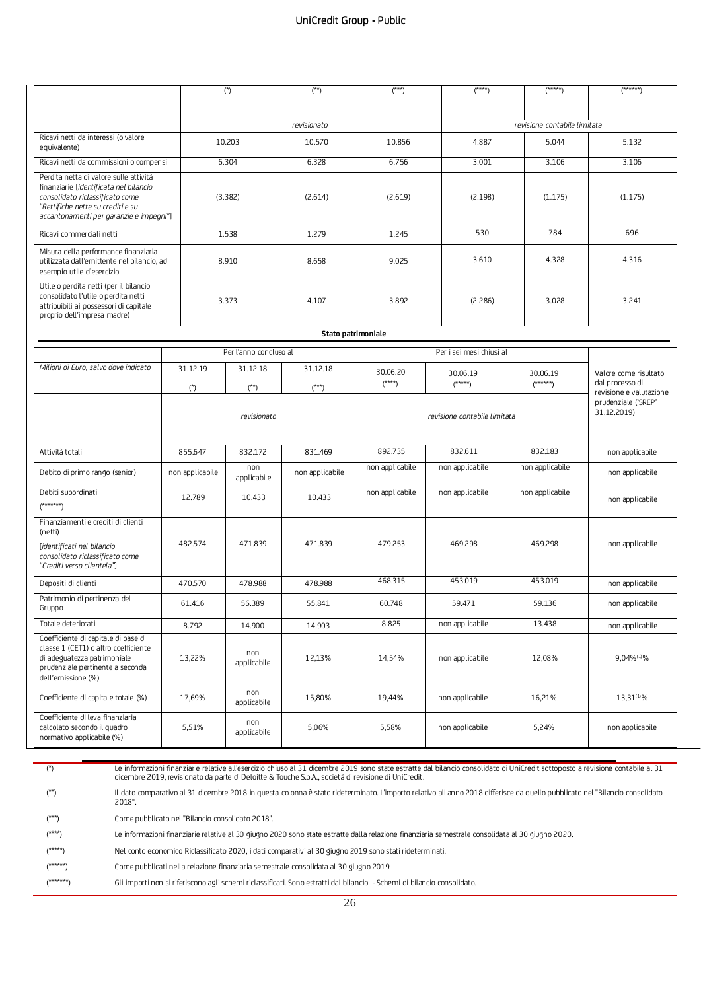|                                                                                                                                                                                                     |                 | $(*)$                  | $(*)$                        | $(***)$         | $(****)$                     | $(****)$                           | $(******)$                                                          |
|-----------------------------------------------------------------------------------------------------------------------------------------------------------------------------------------------------|-----------------|------------------------|------------------------------|-----------------|------------------------------|------------------------------------|---------------------------------------------------------------------|
| revisionato                                                                                                                                                                                         |                 |                        |                              |                 | revisione contabile limitata |                                    |                                                                     |
| Ricavi netti da interessi (o valore<br>equivalente)                                                                                                                                                 |                 | 10.203                 | 10.570                       | 10.856          | 4.887                        | 5.044                              | 5.132                                                               |
| Ricavi netti da commissioni o compensi                                                                                                                                                              |                 | 6.304                  | 6.328                        | 6.756           | 3.001                        | 3.106                              | 3.106                                                               |
| Perdita netta di valore sulle attività<br>finanziarie [identificata nel bilancio<br>consolidato riclassificato come<br>"Rettifiche nette su crediti e su<br>accantonamenti per garanzie e impegni"] |                 | (3.382)                | (2.614)                      | (2.619)         | (2.198)                      | (1.175)                            | (1.175)                                                             |
| Ricavi commerciali netti                                                                                                                                                                            |                 | 1.538                  | 1.279                        | 1.245           | 530                          | 784                                | 696                                                                 |
| Misura della performance finanziaria<br>utilizzata dall'emittente nel bilancio, ad<br>esempio utile d'esercizio                                                                                     |                 | 8.910                  | 8.658                        | 9.025           | 3.610                        | 4.328                              | 4.316                                                               |
| Utile o perdita netti (per il bilancio<br>consolidato l'utile o perdita netti<br>attribuibili ai possessori di capitale<br>proprio dell'impresa madre)                                              |                 | 3.373                  | 4.107                        | 3.892           | (2.286)                      | 3.028                              | 3.241                                                               |
|                                                                                                                                                                                                     |                 |                        | Stato patrimoniale           |                 |                              |                                    |                                                                     |
|                                                                                                                                                                                                     |                 | Per l'anno concluso al |                              |                 | Per i sei mesi chiusi al     |                                    |                                                                     |
| Milioni di Euro, salvo dove indicato                                                                                                                                                                | 31.12.19        | 31.12.18               | 31.12.18                     | 30.06.20        |                              |                                    |                                                                     |
|                                                                                                                                                                                                     | (*)             | $(**)$                 | $(***)$                      | $(****)$        | 30.06.19<br>$(****)$         | 30.06.19<br>$(****")$              | Valore come risultato<br>dal processo di<br>revisione e valutazione |
|                                                                                                                                                                                                     | revisionato     |                        | revisione contabile limitata |                 |                              | prudenziale ('SREP'<br>31.12.2019) |                                                                     |
| Attività totali                                                                                                                                                                                     | 855.647         | 832.172                | 831.469                      | 892.735         | 832.611                      | 832.183                            | non applicabile                                                     |
| Debito di primo rango (senior)                                                                                                                                                                      | non applicabile | non<br>applicabile     | non applicabile              | non applicabile | non applicabile              | non applicabile                    | non applicabile                                                     |
| Debiti subordinati<br>$(******)$                                                                                                                                                                    | 12.789          | 10.433                 | 10.433                       | non applicabile | non applicabile              | non applicabile                    | non applicabile                                                     |
| Finanziamenti e crediti di clienti<br>(netti)<br>[identificati nel bilancio<br>consolidato riclassificato come<br>"Crediti verso clientela"]                                                        | 482.574         | 471.839                | 471.839                      | 479.253         | 469.298                      | 469.298                            | non applicabile                                                     |
| Depositi di clienti                                                                                                                                                                                 | 470.570         | 478.988                | 478.988                      | 468.315         | 453.019                      | 453.019                            | non applicabile                                                     |
| Patrimonio di pertinenza del<br>Gruppo                                                                                                                                                              | 61.416          | 56.389                 | 55.841                       | 60.748          | 59.471                       | 59.136                             | non applicabile                                                     |
| Totale deteriorati                                                                                                                                                                                  | 8.792           | 14.900                 | 14.903                       | 8.825           | non applicabile              | 13.438                             | non applicabile                                                     |
| Coefficiente di capitale di base di<br>classe 1 (CET1) o altro coefficiente<br>di adeguatezza patrimoniale<br>prudenziale pertinente a seconda<br>dell'emissione (%)                                | 13,22%          | non<br>applicabile     | 12,13%                       | 14,54%          | non applicabile              | 12,08%                             | 9,04%(1)%                                                           |
| Coefficiente di capitale totale (%)                                                                                                                                                                 | 17,69%          | non<br>applicabile     | 15,80%                       | 19,44%          | non applicabile              | 16,21%                             | 13,31(1)%                                                           |
| Coefficiente di leva finanziaria<br>calcolato secondo il quadro<br>normativo applicabile (%)                                                                                                        | 5,51%           | non<br>applicabile     | 5,06%                        | 5,58%           | non applicabile              | 5,24%                              | non applicabile                                                     |

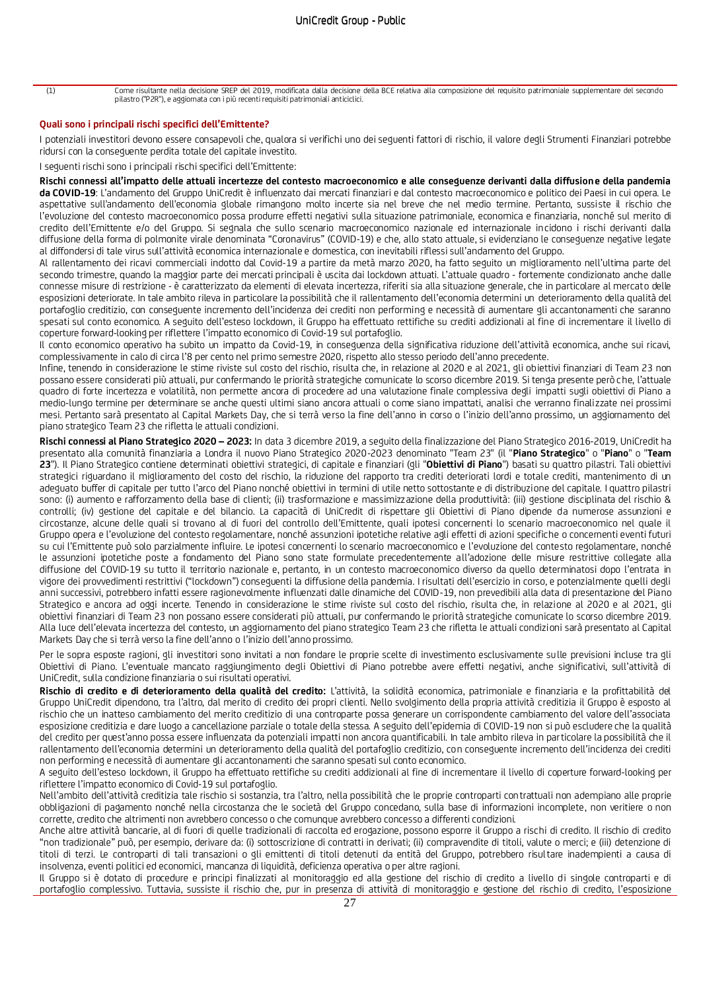(1) Come risultante nella decisione SREP del 2019, modificata dalla decisione della BCE relativa alla composizione del requisito patrimoniale supplementare del secondo pilastro ("P2R"), e aggiornata con i più recenti requisiti patrimoniali anticiclici.

### **Quali sono i principali rischi specifici dell'Emittente?**

I potenziali investitori devono essere consapevoli che, qualora si verifichi uno dei seguenti fattori di rischio, il valore degli Strumenti Finanziari potrebbe ridursi con la conseguente perdita totale del capitale investito.

I seguenti rischi sono i principali rischi specifici dell'Emittente:

**Rischi connessi all'impatto delle attuali incertezze del contesto macroeconomico e alle conseguenze derivanti dalla diffusione della pandemia da COVID-19**: L'andamento del Gruppo UniCredit è influenzato dai mercati finanziari e dal contesto macroeconomico e politico dei Paesi in cui opera. Le aspettative sull'andamento dell'economia globale rimangono molto incerte sia nel breve che nel medio termine. Pertanto, sussiste il rischio che l'evoluzione del contesto macroeconomico possa produrre effetti negativi sulla situazione patrimoniale, economica e finanziaria, nonché sul merito di credito dell'Emittente e/o del Gruppo. Si segnala che sullo scenario macroeconomico nazionale ed internazionale incidono i rischi derivanti dalla diffusione della forma di polmonite virale denominata "Coronavirus" (COVID-19) e che, allo stato attuale, si evidenziano le conseguenze negative legate al diffondersi di tale virus sull'attività economica internazionale e domestica, con inevitabili riflessi sull'andamento del Gruppo.

Al rallentamento dei ricavi commerciali indotto dal Covid-19 a partire da metà marzo 2020, ha fatto seguito un miglioramento nell'ultima parte del secondo trimestre, quando la maggior parte dei mercati principali è uscita dai lockdown attuati. L'attuale quadro - fortemente condizionato anche dalle connesse misure di restrizione - è caratterizzato da elementi di elevata incertezza, riferiti sia alla situazione generale, che in particolare al mercato delle esposizioni deteriorate. In tale ambito rileva in particolare la possibilità che il rallentamento dell'economia determini un deterioramento della qualità del portafoglio creditizio, con conseguente incremento dell'incidenza dei crediti non performing e necessità di aumentare gli accantonamenti che saranno spesati sul conto economico. A seguito dell'esteso lockdown, il Gruppo ha effettuato rettifiche su crediti addizionali al fine di incrementare il livello di coperture forward-looking per riflettere l'impatto economico di Covid-19 sul portafoglio.

Il conto economico operativo ha subito un impatto da Covid-19, in conseguenza della significativa riduzione dell'attività economica, anche sui ricavi, complessivamente in calo di circa l'8 per cento nel primo semestre 2020, rispetto allo stesso periodo dell'anno precedente.

Infine, tenendo in considerazione le stime riviste sul costo del rischio, risulta che, in relazione al 2020 e al 2021, gli obiettivi finanziari di Team 23 non possano essere considerati più attuali, pur confermando le priorità strategiche comunicate lo scorso dicembre 2019. Si tenga presente però che, l'attuale quadro di forte incertezza e volatilità, non permette ancora di procedere ad una valutazione finale complessiva degli impatti sugli obiettivi di Piano a medio-lungo termine per determinare se anche questi ultimi siano ancora attuali o come siano impattati, analisi che verranno finalizzate nei prossimi mesi. Pertanto sarà presentato al Capital Markets Day, che si terrà verso la fine dell'anno in corso o l'inizio dell'anno prossimo, un aggiornamento del piano strategico Team 23 che rifletta le attuali condizioni.

**Rischi connessi al Piano Strategico 2020 – 2023:** In data 3 dicembre 2019, a seguito della finalizzazione del Piano Strategico 2016-2019, UniCredit ha presentato alla comunità finanziaria a Londra il nuovo Piano Strategico 2020-2023 denominato "Team 23" (il "**Piano Strategico**" o "**Piano**" o "**Team 23**"). Il Piano Strategico contiene determinati obiettivi strategici, di capitale e finanziari (gli "**Obiettivi di Piano**") basati su quattro pilastri. Tali obiettivi strategici riguardano il miglioramento del costo del rischio, la riduzione del rapporto tra crediti deteriorati lordi e totale crediti, mantenimento di un adeguato buffer di capitale per tutto l'arco del Piano nonché obiettivi in termini di utile netto sottostante e di distribuzione del capitale. I quattro pilastri sono: (i) aumento e rafforzamento della base di clienti; (ii) trasformazione e massimizzazione della produttività: (iii) gestione disciplinata del rischio & controlli; (iv) gestione del capitale e del bilancio. La capacità di UniCredit di rispettare gli Obiettivi di Piano dipende da numerose assunzioni e circostanze, alcune delle quali si trovano al di fuori del controllo dell'Emittente, quali ipotesi concernenti lo scenario macroeconomico nel quale il Gruppo opera e l'evoluzione del contesto regolamentare, nonché assunzioni ipotetiche relative agli effetti di azioni specifiche o concernenti eventi futuri su cui l'Emittente può solo parzialmente influire. Le ipotesi concernenti lo scenario macroeconomico e l'evoluzione del contesto regolamentare, nonché le assunzioni ipotetiche poste a fondamento del Piano sono state formulate precedentemente all'adozione delle misure restrittive collegate alla diffusione del COVID-19 su tutto il territorio nazionale e, pertanto, in un contesto macroeconomico diverso da quello determinatosi dopo l'entrata in vigore dei provvedimenti restrittivi ("lockdown") conseguenti la diffusione della pandemia. I risultati dell'esercizio in corso, e potenzialmente quelli degli anni successivi, potrebbero infatti essere ragionevolmente influenzati dalle dinamiche del COVID-19, non prevedibili alla data di presentazione del Piano Strategico e ancora ad oggi incerte. Tenendo in considerazione le stime riviste sul costo del rischio, risulta che, in relazione al 2020 e al 2021, gli obiettivi finanziari di Team 23 non possano essere considerati più attuali, pur confermando le priorità strategiche comunicate lo scorso dicembre 2019. Alla luce dell'elevata incertezza del contesto, un aggiornamento del piano strategico Team 23 che rifletta le attuali condizioni sarà presentato al Capital Markets Day che si terrà verso la fine dell'anno o l'inizio dell'anno prossimo.

Per le sopra esposte ragioni, gli investitori sono invitati a non fondare le proprie scelte di investimento esclusivamente sulle previsioni incluse tra gli Obiettivi di Piano. L'eventuale mancato raggiungimento degli Obiettivi di Piano potrebbe avere effetti negativi, anche significativi, sull'attività di UniCredit, sulla condizione finanziaria o sui risultati operativi.

**Rischio di credito e di deterioramento della qualità del credito:** L'attività, la solidità economica, patrimoniale e finanziaria e la profittabilità del Gruppo UniCredit dipendono, tra l'altro, dal merito di credito dei propri clienti. Nello svolgimento della propria attività creditizia il Gruppo è esposto al rischio che un inatteso cambiamento del merito creditizio di una controparte possa generare un corrispondente cambiamento del valore dell'associata esposizione creditizia e dare luogo a cancellazione parziale o totale della stessa. A seguito dell'epidemia di COVID-19 non si può escludere che la qualità del credito per quest'anno possa essere influenzata da potenziali impatti non ancora quantificabili. In tale ambito rileva in particolare la possibilità che il rallentamento dell'economia determini un deterioramento della qualità del portafoglio creditizio, con conseguente incremento dell'incidenza dei crediti non performing e necessità di aumentare gli accantonamenti che saranno spesati sul conto economico.

A seguito dell'esteso lockdown, il Gruppo ha effettuato rettifiche su crediti addizionali al fine di incrementare il livello di coperture forward-looking per riflettere l'impatto economico di Covid-19 sul portafoglio.

Nell'ambito dell'attività creditizia tale rischio si sostanzia, tra l'altro, nella possibilità che le proprie controparti contrattuali non adempiano alle proprie obbligazioni di pagamento nonché nella circostanza che le società del Gruppo concedano, sulla base di informazioni incomplete, non veritiere o non corrette, credito che altrimenti non avrebbero concesso o che comunque avrebbero concesso a differenti condizioni.

Anche altre attività bancarie, al di fuori di quelle tradizionali di raccolta ed erogazione, possono esporre il Gruppo a rischi di credito. Il rischio di credito "non tradizionale" può, per esempio, derivare da: (i) sottoscrizione di contratti in derivati; (ii) compravendite di titoli, valute o merci; e (iii) detenzione di titoli di terzi. Le controparti di tali transazioni o gli emittenti di titoli detenuti da entità del Gruppo, potrebbero risultare inadempienti a causa di insolvenza, eventi politici ed economici, mancanza di liquidità, deficienza operativa o per altre ragioni.

Il Gruppo si è dotato di procedure e principi finalizzati al monitoraggio ed alla gestione del rischio di credito a livello di singole controparti e di portafoglio complessivo. Tuttavia, sussiste il rischio che, pur in presenza di attività di monitoraggio e gestione del rischio di credito, l'esposizione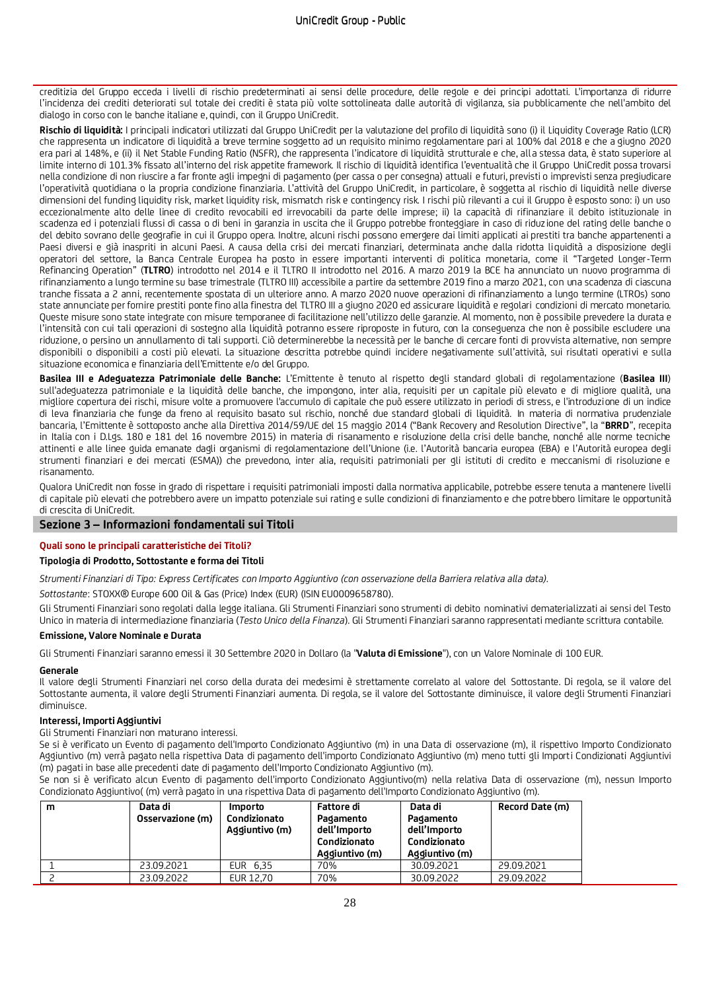creditizia del Gruppo ecceda i livelli di rischio predeterminati ai sensi delle procedure, delle regole e dei principi adottati. L'importanza di ridurre l'incidenza dei crediti deteriorati sul totale dei crediti è stata più volte sottolineata dalle autorità di vigilanza, sia pubblicamente che nell'ambito del dialogo in corso con le banche italiane e, quindi, con il Gruppo UniCredit.

**Rischio di liquidità:** I principali indicatori utilizzati dal Gruppo UniCredit per la valutazione del profilo di liquidità sono (i) il Liquidity Coverage Ratio (LCR) che rappresenta un indicatore di liquidità a breve termine soggetto ad un requisito minimo regolamentare pari al 100% dal 2018 e che a giugno 2020 era pari al 148%, e (ii) il Net Stable Funding Ratio (NSFR), che rappresenta l'indicatore di liquidità strutturale e che, alla stessa data, è stato superiore al limite interno di 101.3% fissato all'interno del risk appetite framework. Il rischio di liquidità identifica l'eventualità che il Gruppo UniCredit possa trovarsi nella condizione di non riuscire a far fronte agli impegni di pagamento (per cassa o per consegna) attuali e futuri, previsti o imprevisti senza pregiudicare l'operatività quotidiana o la propria condizione finanziaria. L'attività del Gruppo UniCredit, in particolare, è soggetta al rischio di liquidità nelle diverse dimensioni del funding liquidity risk, market liquidity risk, mismatch risk e contingency risk. I rischi più rilevanti a cui il Gruppo è esposto sono: i) un uso eccezionalmente alto delle linee di credito revocabili ed irrevocabili da parte delle imprese; ii) la capacità di rifinanziare il debito istituzionale in scadenza ed i potenziali flussi di cassa o di beni in garanzia in uscita che il Gruppo potrebbe fronteggiare in caso di riduzione del rating delle banche o del debito sovrano delle geografie in cui il Gruppo opera. Inoltre, alcuni rischi possono emergere dai limiti applicati ai prestiti tra banche appartenenti a Paesi diversi e già inaspriti in alcuni Paesi. A causa della crisi dei mercati finanziari, determinata anche dalla ridotta liquidità a disposizione degli operatori del settore, la Banca Centrale Europea ha posto in essere importanti interventi di politica monetaria, come il "Targeted Longer-Term Refinancing Operation" (**TLTRO**) introdotto nel 2014 e il TLTRO II introdotto nel 2016. A marzo 2019 la BCE ha annunciato un nuovo programma di rifinanziamento a lungo termine su base trimestrale (TLTRO III) accessibile a partire da settembre 2019 fino a marzo 2021, con una scadenza di ciascuna tranche fissata a 2 anni, recentemente spostata di un ulteriore anno. A marzo 2020 nuove operazioni di rifinanziamento a lungo termine (LTROs) sono state annunciate per fornire prestiti ponte fino alla finestra del TLTRO III a giugno 2020 ed assicurare liquidità e regolari condizioni di mercato monetario. Queste misure sono state integrate con misure temporanee di facilitazione nell'utilizzo delle garanzie. Al momento, non è possibile prevedere la durata e l'intensità con cui tali operazioni di sostegno alla liquidità potranno essere riproposte in futuro, con la conseguenza che non è possibile escludere una riduzione, o persino un annullamento di tali supporti. Ciò determinerebbe la necessità per le banche di cercare fonti di provvista alternative, non sempre disponibili o disponibili a costi più elevati. La situazione descritta potrebbe quindi incidere negativamente sull'attività, sui risultati operativi e sulla situazione economica e finanziaria dell'Emittente e/o del Gruppo.

**Basilea III e Adeguatezza Patrimoniale delle Banche:** L'Emittente è tenuto al rispetto degli standard globali di regolamentazione (**Basilea III**) sull'adeguatezza patrimoniale e la liquidità delle banche, che impongono, inter alia, requisiti per un capitale più elevato e di migliore qualità, una migliore copertura dei rischi, misure volte a promuovere l'accumulo di capitale che può essere utilizzato in periodi di stress, e l'introduzione di un indice di leva finanziaria che funge da freno al requisito basato sul rischio, nonché due standard globali di liquidità. In materia di normativa prudenziale bancaria, l'Emittente è sottoposto anche alla Direttiva 2014/59/UE del 15 maggio 2014 ("Bank Recovery and Resolution Directive", la "**BRRD**", recepita in Italia con i D.Lgs. 180 e 181 del 16 novembre 2015) in materia di risanamento e risoluzione della crisi delle banche, nonché alle norme tecniche attinenti e alle linee guida emanate dagli organismi di regolamentazione dell'Unione (i.e. l'Autorità bancaria europea (EBA) e l'Autorità europea degli strumenti finanziari e dei mercati (ESMA)) che prevedono, inter alia, requisiti patrimoniali per gli istituti di credito e meccanismi di risoluzione e risanamento.

Qualora UniCredit non fosse in grado di rispettare i requisiti patrimoniali imposti dalla normativa applicabile, potrebbe essere tenuta a mantenere livelli di capitale più elevati che potrebbero avere un impatto potenziale sui rating e sulle condizioni di finanziamento e che potrebbero limitare le opportunità di crescita di UniCredit.

### **Sezione 3 – Informazioni fondamentali sui Titoli**

### **Quali sono le principali caratteristiche dei Titoli?**

### **Tipologia di Prodotto, Sottostante e forma dei Titoli**

*Strumenti Finanziari di Tipo: Express Certificates con Importo Aggiuntivo (con osservazione della Barriera relativa alla data).*

*Sottostante*: STOXX® Europe 600 Oil & Gas (Price) Index (EUR) (ISIN EU0009658780).

Gli Strumenti Finanziari sono regolati dalla legge italiana. Gli Strumenti Finanziari sono strumenti di debito nominativi dematerializzati ai sensi del Testo Unico in materia di intermediazione finanziaria (*Testo Unico della Finanza*). Gli Strumenti Finanziari saranno rappresentati mediante scrittura contabile.

### **Emissione, Valore Nominale e Durata**

Gli Strumenti Finanziari saranno emessi il 30 Settembre 2020 in Dollaro (la "**Valuta di Emissione**"), con un Valore Nominale di 100 EUR.

#### **Generale**

Il valore degli Strumenti Finanziari nel corso della durata dei medesimi è strettamente correlato al valore del Sottostante. Di regola, se il valore del Sottostante aumenta, il valore degli Strumenti Finanziari aumenta. Di regola, se il valore del Sottostante diminuisce, il valore degli Strumenti Finanziari diminuisce.

### **Interessi, Importi Aggiuntivi**

Gli Strumenti Finanziari non maturano interessi.

Se si è verificato un Evento di pagamento dell'Importo Condizionato Aggiuntivo (m) in una Data di osservazione (m), il rispettivo Importo Condizionato Aggiuntivo (m) verrà pagato nella rispettiva Data di pagamento dell'importo Condizionato Aggiuntivo (m) meno tutti gli Importi Condizionati Aggiuntivi (m) pagati in base alle precedenti date di pagamento dell'Importo Condizionato Aggiuntivo (m).

Se non si è verificato alcun Evento di pagamento dell'importo Condizionato Aggiuntivo(m) nella relativa Data di osservazione (m), nessun Importo Condizionato Aggiuntivo( (m) verrà pagato in una rispettiva Data di pagamento dell'Importo Condizionato Aggiuntivo (m).

| m | Data di<br>Osservazione (m) | Importo<br>Condizionato<br>Aggiuntivo (m) | Fattore di<br>Pagamento<br>dell'Importo<br>Condizionato<br>Aggiuntivo (m) | Data di<br>Pagamento<br>dell'Importo<br>Condizionato<br>Aggiuntivo (m) | Record Date (m) |
|---|-----------------------------|-------------------------------------------|---------------------------------------------------------------------------|------------------------------------------------------------------------|-----------------|
|   | 23.09.2021                  | EUR 6.35                                  | 70%                                                                       | 30.09.2021                                                             | 29.09.2021      |
|   | 23.09.2022                  | EUR 12.70                                 | 70%                                                                       | 30.09.2022                                                             | 29.09.2022      |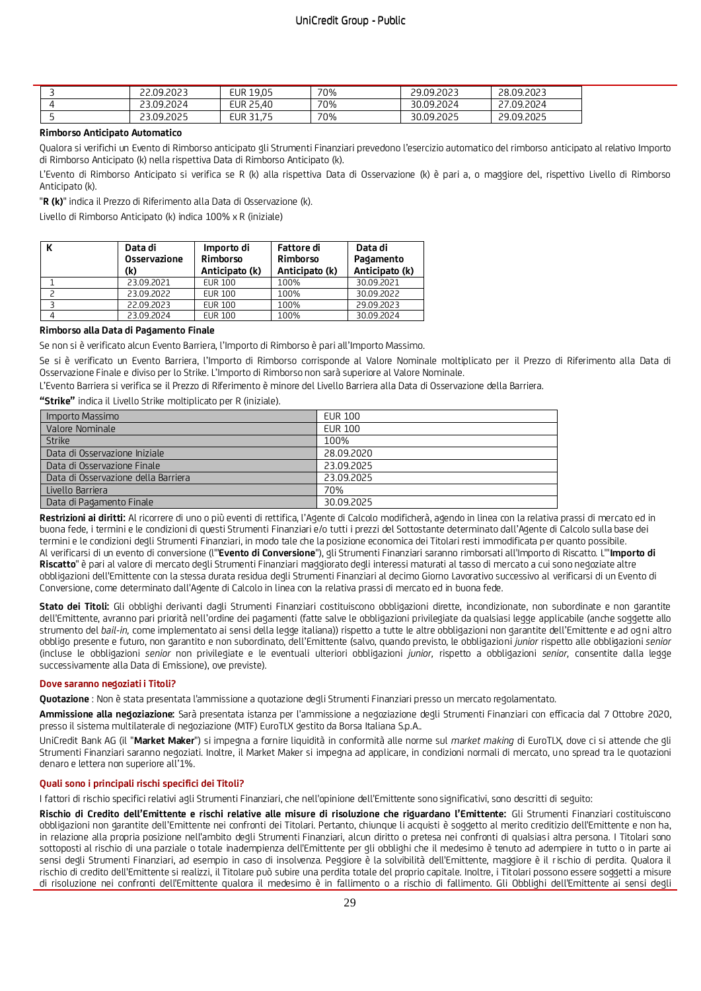|  | 22.09.2023 | <b>EUR 19.05</b>                     | 70% | 29.09.2023 | 28.09.2023 |
|--|------------|--------------------------------------|-----|------------|------------|
|  | 23.09.2024 | <b>EUR 25.40</b>                     | 70% | 30.09.2024 | 27.09.2024 |
|  | 23.09.2025 | $\overline{\phantom{a}}$<br>EUR 31.7 | 70% | 30.09.2025 | 29.09.2025 |

### **Rimborso Anticipato Automatico**

Qualora si verifichi un Evento di Rimborso anticipato gli Strumenti Finanziari prevedono l'esercizio automatico del rimborso anticipato al relativo Importo di Rimborso Anticipato (k) nella rispettiva Data di Rimborso Anticipato (k).

L'Evento di Rimborso Anticipato si verifica se R (k) alla rispettiva Data di Osservazione (k) è pari a, o maggiore del, rispettivo Livello di Rimborso Anticipato (k).

"**R (k)**" indica il Prezzo di Riferimento alla Data di Osservazione (k).

Livello di Rimborso Anticipato (k) indica 100% x R (iniziale)

| Data di<br>Osservazione<br>(k) | Importo di<br>Rimborso<br>Anticipato (k) | <b>Fattore di</b><br>Rimborso<br>Anticipato (k) | Data di<br>Pagamento<br>Anticipato (k) |
|--------------------------------|------------------------------------------|-------------------------------------------------|----------------------------------------|
| 23.09.2021                     | <b>EUR 100</b>                           | 100%                                            | 30.09.2021                             |
| 23.09.2022                     | <b>EUR 100</b>                           | 100%                                            | 30.09.2022                             |
| 22.09.2023                     | <b>EUR 100</b>                           | 100%                                            | 29.09.2023                             |
| 23.09.2024                     | <b>EUR 100</b>                           | 100%                                            | 30.09.2024                             |

### **Rimborso alla Data di Pagamento Finale**

Se non si è verificato alcun Evento Barriera, l'Importo di Rimborso è pari all'Importo Massimo.

Se si è verificato un Evento Barriera, l'Importo di Rimborso corrisponde al Valore Nominale moltiplicato per il Prezzo di Riferimento alla Data di Osservazione Finale e diviso per lo Strike. L'Importo di Rimborso non sarà superiore al Valore Nominale.

L'Evento Barriera si verifica se il Prezzo di Riferimento è minore del Livello Barriera alla Data di Osservazione della Barriera.

**"Strike"** indica il Livello Strike moltiplicato per R (iniziale).

| Importo Massimo                     | <b>EUR 100</b> |
|-------------------------------------|----------------|
| Valore Nominale                     | <b>EUR 100</b> |
| <b>Strike</b>                       | 100%           |
| Data di Osservazione Iniziale       | 28.09.2020     |
| Data di Osservazione Finale         | 23.09.2025     |
| Data di Osservazione della Barriera | 23.09.2025     |
| Livello Barriera                    | 70%            |
| Data di Pagamento Finale            | 30.09.2025     |

**Restrizioni ai diritti:** Al ricorrere di uno o più eventi di rettifica, l'Agente di Calcolo modificherà, agendo in linea con la relativa prassi di mercato ed in buona fede, i termini e le condizioni di questi Strumenti Finanziari e/o tutti i prezzi del Sottostante determinato dall'Agente di Calcolo sulla base dei termini e le condizioni degli Strumenti Finanziari, in modo tale che la posizione economica dei Titolari resti immodificata per quanto possibile. Al verificarsi di un evento di conversione (l'"**Evento di Conversione**"), gli Strumenti Finanziari saranno rimborsati all'Importo di Riscatto. L'"**Importo di Riscatto**" è pari al valore di mercato degli Strumenti Finanziari maggiorato degli interessi maturati al tasso di mercato a cui sono negoziate altre obbligazioni dell'Emittente con la stessa durata residua degli Strumenti Finanziari al decimo Giorno Lavorativo successivo al verificarsi di un Evento di Conversione, come determinato dall'Agente di Calcolo in linea con la relativa prassi di mercato ed in buona fede.

**Stato dei Titoli:** Gli obblighi derivanti dagli Strumenti Finanziari costituiscono obbligazioni dirette, incondizionate, non subordinate e non garantite dell'Emittente, avranno pari priorità nell'ordine dei pagamenti (fatte salve le obbligazioni privilegiate da qualsiasi legge applicabile (anche soggette allo strumento del *bail-in,* come implementato ai sensi della legge italiana)) rispetto a tutte le altre obbligazioni non garantite dell'Emittente e ad ogni altro obbligo presente e futuro, non garantito e non subordinato, dell'Emittente (salvo, quando previsto, le obbligazioni *junior* rispetto alle obbligazioni *senior* (incluse le obbligazioni *senior* non privilegiate e le eventuali ulteriori obbligazioni *junior,* rispetto a obbligazioni *senior,* consentite dalla legge successivamente alla Data di Emissione), ove previste).

#### **Dove saranno negoziati i Titoli?**

**Quotazione** : Non è stata presentata l'ammissione a quotazione degli Strumenti Finanziari presso un mercato regolamentato.

**Ammissione alla negoziazione:** Sarà presentata istanza per l'ammissione a negoziazione degli Strumenti Finanziari con efficacia dal 7 Ottobre 2020, presso il sistema multilaterale di negoziazione (MTF) EuroTLX gestito da Borsa Italiana S.p.A..

UniCredit Bank AG (il "**Market Maker**") si impegna a fornire liquidità in conformità alle norme sul *market making* di EuroTLX, dove ci si attende che gli Strumenti Finanziari saranno negoziati. Inoltre, il Market Maker si impegna ad applicare, in condizioni normali di mercato, uno spread tra le quotazioni denaro e lettera non superiore all'1%.

### **Quali sono i principali rischi specifici dei Titoli?**

I fattori di rischio specifici relativi agli Strumenti Finanziari, che nell'opinione dell'Emittente sono significativi, sono descritti di seguito:

**Rischio di Credito dell'Emittente e rischi relative alle misure di risoluzione che riguardano l'Emittente:** Gli Strumenti Finanziari costituiscono obbligazioni non garantite dell'Emittente nei confronti dei Titolari. Pertanto, chiunque li acquisti è soggetto al merito creditizio dell'Emittente e non ha, in relazione alla propria posizione nell'ambito degli Strumenti Finanziari, alcun diritto o pretesa nei confronti di qualsias i altra persona. I Titolari sono sottoposti al rischio di una parziale o totale inadempienza dell'Emittente per gli obblighi che il medesimo è tenuto ad adempiere in tutto o in parte ai sensi degli Strumenti Finanziari, ad esempio in caso di insolvenza. Peggiore è la solvibilità dell'Emittente, maggiore è il rischio di perdita. Qualora il rischio di credito dell'Emittente si realizzi, il Titolare può subire una perdita totale del proprio capitale. Inoltre, i Titolari possono essere soggetti a misure di risoluzione nei confronti dell'Emittente qualora il medesimo è in fallimento o a rischio di fallimento. Gli Obblighi dell'Emittente ai sensi degli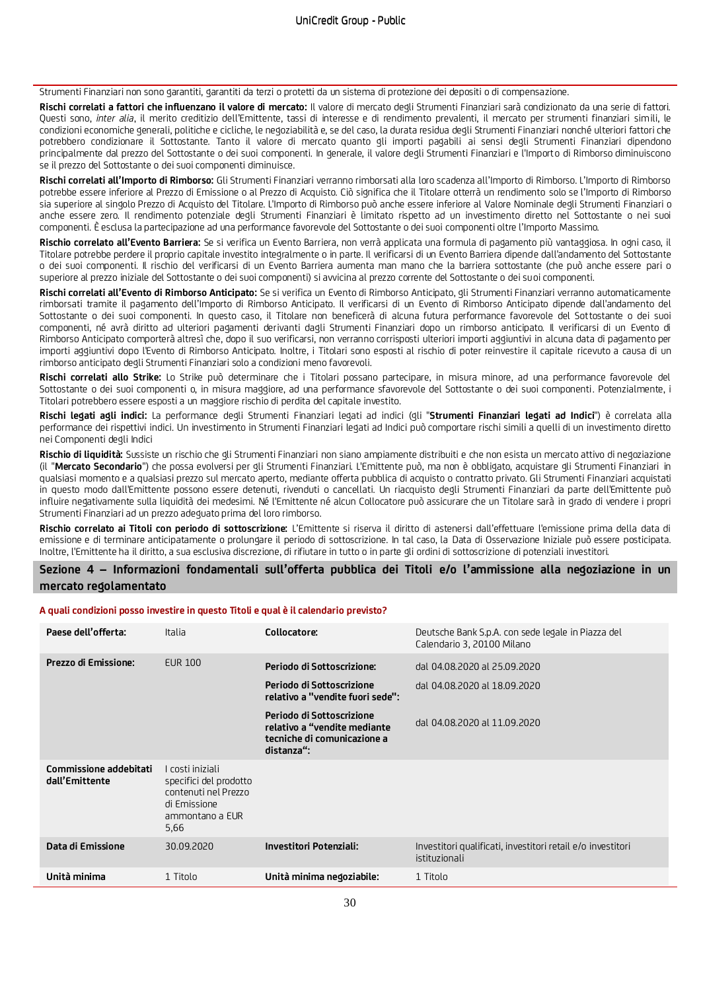Strumenti Finanziari non sono garantiti, garantiti da terzi o protetti da un sistema di protezione dei depositi o di compensazione.

**Rischi correlati a fattori che influenzano il valore di mercato:** Il valore di mercato degli Strumenti Finanziari sarà condizionato da una serie di fattori. Questi sono, *inter alia*, il merito creditizio dell'Emittente, tassi di interesse e di rendimento prevalenti, il mercato per strumenti finanziari simili, le condizioni economiche generali, politiche e cicliche, le negoziabilità e, se del caso, la durata residua degli Strumenti Finanziari nonché ulteriori fattori che potrebbero condizionare il Sottostante. Tanto il valore di mercato quanto gli importi pagabili ai sensi degli Strumenti Finanziari dipendono principalmente dal prezzo del Sottostante o dei suoi componenti. In generale, il valore degli Strumenti Finanziari e l'Importo di Rimborso diminuiscono se il prezzo del Sottostante o dei suoi componenti diminuisce.

**Rischi correlati all'Importo di Rimborso:** Gli Strumenti Finanziari verranno rimborsati alla loro scadenza all'Importo di Rimborso. L'Importo di Rimborso potrebbe essere inferiore al Prezzo di Emissione o al Prezzo di Acquisto. Ciò significa che il Titolare otterrà un rendimento solo se l'Importo di Rimborso sia superiore al singolo Prezzo di Acquisto del Titolare. L'Importo di Rimborso può anche essere inferiore al Valore Nominale degli Strumenti Finanziari o anche essere zero. Il rendimento potenziale degli Strumenti Finanziari è limitato rispetto ad un investimento diretto nel Sottostante o nei suoi componenti. È esclusa la partecipazione ad una performance favorevole del Sottostante o dei suoi componenti oltre l'Importo Massimo.

**Rischio correlato all'Evento Barriera:** Se si verifica un Evento Barriera, non verrà applicata una formula di pagamento più vantaggiosa. In ogni caso, il Titolare potrebbe perdere il proprio capitale investito integralmente o in parte. Il verificarsi di un Evento Barriera dipende dall'andamento del Sottostante o dei suoi componenti. Il rischio del verificarsi di un Evento Barriera aumenta man mano che la barriera sottostante (che può anche essere pari o superiore al prezzo iniziale del Sottostante o dei suoi componenti) si avvicina al prezzo corrente del Sottostante o dei suoi componenti.

**Rischi correlati all'Evento di Rimborso Anticipato:** Se si verifica un Evento di Rimborso Anticipato, gli Strumenti Finanziari verranno automaticamente rimborsati tramite il pagamento dell'Importo di Rimborso Anticipato. Il verificarsi di un Evento di Rimborso Anticipato dipende dall'andamento del Sottostante o dei suoi componenti. In questo caso, il Titolare non beneficerà di alcuna futura performance favorevole del Sottostante o dei suoi componenti, né avrà diritto ad ulteriori pagamenti derivanti dagli Strumenti Finanziari dopo un rimborso anticipato. Il verificarsi di un Evento di Rimborso Anticipato comporterà altresì che, dopo il suo verificarsi, non verranno corrisposti ulteriori importi aggiuntivi in alcuna data di pagamento per importi aggiuntivi dopo l'Evento di Rimborso Anticipato. Inoltre, i Titolari sono esposti al rischio di poter reinvestire il capitale ricevuto a causa di un rimborso anticipato degli Strumenti Finanziari solo a condizioni meno favorevoli.

**Rischi correlati allo Strike:** Lo Strike può determinare che i Titolari possano partecipare, in misura minore, ad una performance favorevole del Sottostante o dei suoi componenti o, in misura maggiore, ad una performance sfavorevole del Sottostante o dei suoi componenti. Potenzialmente, i Titolari potrebbero essere esposti a un maggiore rischio di perdita del capitale investito.

**Rischi legati agli indici:** La performance degli Strumenti Finanziari legati ad indici (gli "**Strumenti Finanziari legati ad Indici**") è correlata alla performance dei rispettivi indici. Un investimento in Strumenti Finanziari legati ad Indici può comportare rischi simili a quelli di un investimento diretto nei Componenti degli Indici

**Rischio di liquidità:** Sussiste un rischio che gli Strumenti Finanziari non siano ampiamente distribuiti e che non esista un mercato attivo di negoziazione (il "**Mercato Secondario**") che possa evolversi per gli Strumenti Finanziari. L'Emittente può, ma non è obbligato, acquistare gli Strumenti Finanziari in qualsiasi momento e a qualsiasi prezzo sul mercato aperto, mediante offerta pubblica di acquisto o contratto privato. Gli Strumenti Finanziari acquistati in questo modo dall'Emittente possono essere detenuti, rivenduti o cancellati. Un riacquisto degli Strumenti Finanziari da parte dell'Emittente può influire negativamente sulla liquidità dei medesimi. Né l'Emittente né alcun Collocatore può assicurare che un Titolare sarà in grado di vendere i propri Strumenti Finanziari ad un prezzo adeguato prima del loro rimborso.

**Rischio correlato ai Titoli con periodo di sottoscrizione:** L'Emittente si riserva il diritto di astenersi dall'effettuare l'emissione prima della data di emissione e di terminare anticipatamente o prolungare il periodo di sottoscrizione. In tal caso, la Data di Osservazione Iniziale può essere posticipata. Inoltre, l'Emittente ha il diritto, a sua esclusiva discrezione, di rifiutare in tutto o in parte gli ordini di sottoscrizione di potenziali investitori.

## **Sezione 4 – Informazioni fondamentali sull'offerta pubblica dei Titoli e/o l'ammissione alla negoziazione in un mercato regolamentato**

#### **A quali condizioni posso investire in questo Titoli e qual è il calendario previsto?**

| Paese dell'offerta:                      | Italia                                                                                                        | Collocatore:                                                                                           | Deutsche Bank S.p.A. con sede legale in Piazza del<br>Calendario 3, 20100 Milano |
|------------------------------------------|---------------------------------------------------------------------------------------------------------------|--------------------------------------------------------------------------------------------------------|----------------------------------------------------------------------------------|
| Prezzo di Emissione:                     | <b>EUR 100</b>                                                                                                | Periodo di Sottoscrizione:                                                                             | dal 04.08.2020 al 25.09.2020                                                     |
|                                          |                                                                                                               | Periodo di Sottoscrizione<br>relativo a "vendite fuori sede":                                          | dal 04.08.2020 al 18.09.2020                                                     |
|                                          |                                                                                                               | Periodo di Sottoscrizione<br>relativo a "vendite mediante<br>tecniche di comunicazione a<br>distanza": | dal 04.08.2020 al 11.09.2020                                                     |
| Commissione addebitati<br>dall'Emittente | I costi iniziali<br>specifici del prodotto<br>contenuti nel Prezzo<br>di Emissione<br>ammontano a EUR<br>5,66 |                                                                                                        |                                                                                  |
| Data di Emissione                        | 30.09.2020                                                                                                    | <b>Investitori Potenziali:</b>                                                                         | Investitori qualificati, investitori retail e/o investitori<br>istituzionali     |
| Unità minima                             | 1 Titolo                                                                                                      | Unità minima negoziabile:                                                                              | 1 Titolo                                                                         |